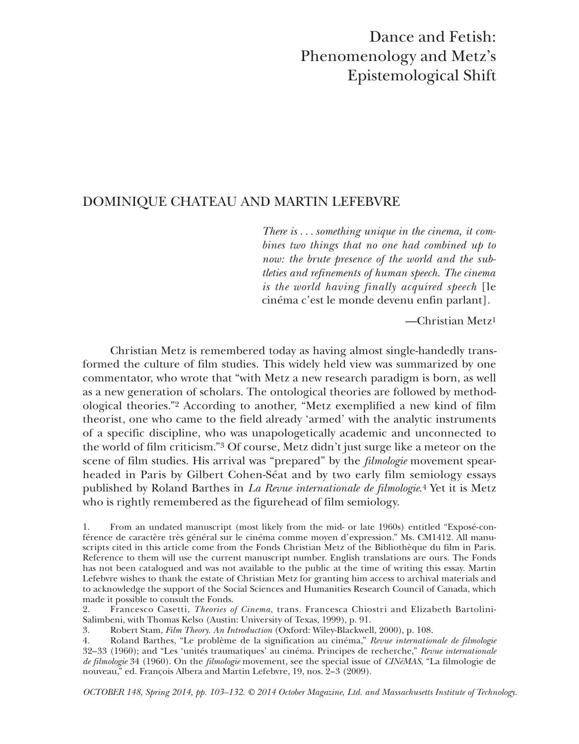# Dance and Fetish: Phenomenology and Metz's Epistemological Shift

## DOMINIQUE CHATEAU AND MARTIN LEFEBVRE

*There is . . . something unique in the cinema, it combines two things that no one had combined up to now: the brute presence of the world and the subtleties and refinements of human speech. The cinema is the world having finally acquired speech* [le cinéma c'est le monde devenu enfin parlant]*.*

—Christian Metz1

 Christian Metz is remembered today as having almost single-handedly transformed the culture of film studies. This widely held view was summarized by one commentator, who wrote that "with Metz a new research paradigm is born, as well as a new generation of scholars. The ontological theories are followed by methodological theories."2 According to another, "Metz exemplified a new kind of film theorist, one who came to the field already 'armed' with the analytic instruments of a specific discipline, who was unapologetically academic and unconnected to the world of film criticism."3 Of course, Metz didn't just surge like a meteor on the scene of film studies. His arrival was "prepared" by the *filmologie* movement spearheaded in Paris by Gilbert Cohen-Séat and by two early film semiology essays published by Roland Barthes in *La Revue internationale de filmologie*.4 Yet it is Metz who is rightly remembered as the figurehead of film semiology.

1. From an undated manuscript (most likely from the mid- or late 1960s) entitled "Exposé-conférence de caractère très général sur le cinéma comme moyen d'expression." Ms. CM1412. All manuscripts cited in this article come from the Fonds Christian Metz of the Bibliothèque du film in Paris. Reference to them will use the current manuscript number. English translations are ours. The Fonds has not been catalogued and was not available to the public at the time of writing this essay. Martin Lefebvre wishes to thank the estate of Christian Metz for granting him access to archival materials and to acknowledge the support of the Social Sciences and Humanities Research Council of Canada, which made it possible to consult the Fonds.

2. Francesco Casetti, *Theories of Cinema*, trans. Francesca Chiostri and Elizabeth Bartolini-Salimbeni, with Thomas Kelso (Austin: University of Texas, 1999), p. 91.<br>3. Robert Stam. Film Theory. An Introduction (Oxford: Wiley-Blackwel

3. Robert Stam, *Film Theory. An Introduction* (Oxford: Wiley-Blackwell, 2000), p. 108.

4. Roland Barthes, "Le problème de la signification au cinéma," *Revue internationale de filmologie* 32–33 (1960); and "Les 'unités traumatiques' au cinéma. Principes de recherche," *Revue internationale de filmologie* 34 (1960). On the *filmologie* movement, see the special issue of *CINéMAS*, "La filmologie de nouveau," ed. François Albera and Martin Lefebvre, 19, nos. 2–3 (2009).

*OCTOBER 148, Spring 2014, pp. 103–132. © 2014 October Magazine, Ltd. and Massachusetts Institute of Technology.*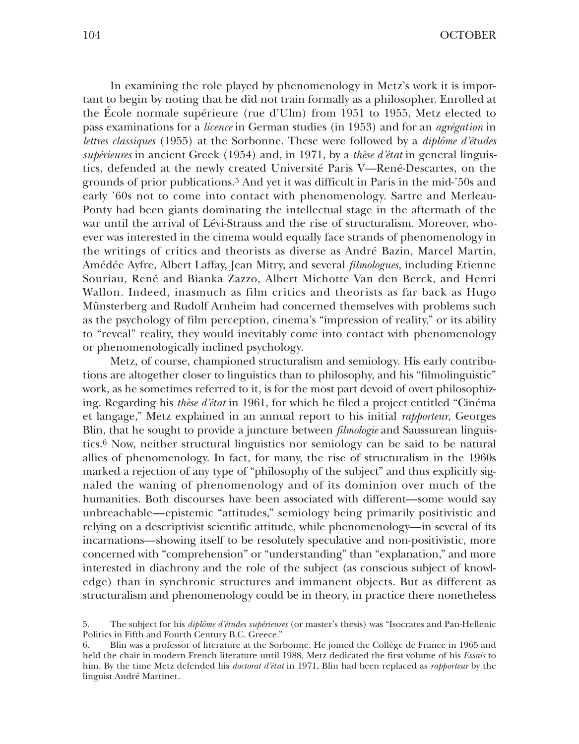In examining the role played by phenomenology in Metz's work it is important to begin by noting that he did not train formally as a philosopher. Enrolled at the École normale supérieure (rue d'Ulm) from 1951 to 1955, Metz elected to pass examinations for a *licence* in German studies (in 1953) and for an *agrégation* in *lettres classiques* (1955) at the Sorbonne. These were followed by a *diplôme d'études supérieures* in ancient Greek (1954) and, in 1971, by a *thèse d'état* in general linguistics, defended at the newly created Université Paris V—René-Descartes, on the grounds of prior publications.5 And yet it was difficult in Paris in the mid-'50s and early '60s not to come into contact with phenomenology. Sartre and Merleau-Ponty had been giants dominating the intellectual stage in the aftermath of the war until the arrival of Lévi-Strauss and the rise of structuralism. Moreover, whoever was interested in the cinema would equally face strands of phenomenology in the writings of critics and theorists as diverse as André Bazin, Marcel Martin, Amédée Ayfre, Albert Laffay, Jean Mitry, and several *filmologues*, including Etienne Souriau, René and Bianka Zazzo, Albert Michotte Van den Berck, and Henri Wallon. Indeed, inasmuch as film critics and theorists as far back as Hugo

Münsterberg and Rudolf Arnheim had concerned themselves with problems such as the psychology of film perception, cinema's "impression of reality," or its ability to "reveal" reality, they would inevitably come into contact with phenomenology or phenomenologically inclined psychology.

 Metz, of course, championed structuralism and semiology. His early contributions are altogether closer to linguistics than to philosophy, and his "filmolinguistic" work, as he sometimes referred to it, is for the most part devoid of overt philosophizing. Regarding his *thèse d'état* in 1961, for which he filed a project entitled "Cinéma et langage," Metz explained in an annual report to his initial *rapporteur*, Georges Blin, that he sought to provide a juncture between *filmologie* and Saussurean linguistics.6 Now, neither structural linguistics nor semiology can be said to be natural allies of phenomenology. In fact, for many, the rise of structuralism in the 1960s marked a rejection of any type of "philosophy of the subject" and thus explicitly signaled the waning of phenomenology and of its dominion over much of the humanities. Both discourses have been associated with different—some would say unbreachable—epistemic "attitudes," semiology being primarily positivistic and relying on a descriptivist scientific attitude, while phenomenology—in several of its incarnations—showing itself to be resolutely speculative and non-positivistic, more concerned with "comprehension" or "understanding" than "explanation," and more interested in diachrony and the role of the subject (as conscious subject of knowledge) than in synchronic structures and immanent objects. But as different as structuralism and phenomenology could be in theory, in practice there nonetheless

<sup>5.</sup> The subject for his *diplôme d'études supérieures* (or master's thesis) was "Isocrates and Pan-Hellenic Politics in Fifth and Fourth Century B.C. Greece."

<sup>6.</sup> Blin was a professor of literature at the Sorbonne. He joined the Collège de France in 1965 and held the chair in modern French literature until 1988. Metz dedicated the first volume of his *Essais* to him. By the time Metz defended his *doctorat d'état* in 1971, Blin had been replaced as *rapporteur* by the linguist André Martinet.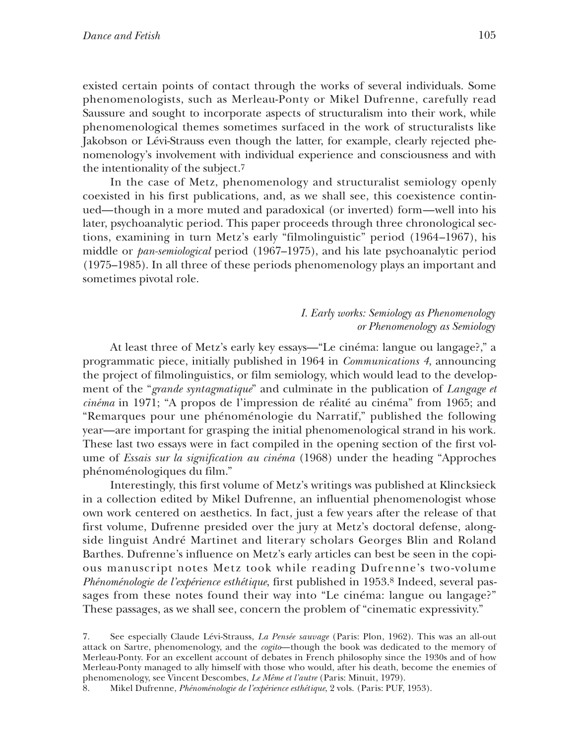existed certain points of contact through the works of several individuals. Some phenomenologists, such as Merleau-Ponty or Mikel Dufrenne, carefully read Saussure and sought to incorporate aspects of structuralism into their work, while phenomenological themes sometimes surfaced in the work of structuralists like Jakobson or Lévi-Strauss even though the latter, for example, clearly rejected phenomenology's involvement with individual experience and consciousness and with the intentionality of the subject.7

 In the case of Metz, phenomenology and structuralist semiology openly coexisted in his first publications, and, as we shall see, this coexistence continued—though in a more muted and paradoxical (or inverted) form—well into his later, psychoanalytic period. This paper proceeds through three chronological sections, examining in turn Metz's early "filmolinguistic" period (1964–1967), his middle or *pan-semiological* period (1967–1975), and his late psychoanalytic period (1975–1985). In all three of these periods phenomenology plays an important and sometimes pivotal role.

## *I. Early works: Semiology as Phenomenology or Phenomenology as Semiology*

 At least three of Metz's early key essays—"Le cinéma: langue ou langage?," a programmatic piece, initially published in 1964 in *Communications 4*, announcing the project of filmolinguistics, or film semiology, which would lead to the development of the "*grande syntagmatique*" and culminate in the publication of *Langage et cinéma* in 1971; "A propos de l'impression de réalité au cinéma" from 1965; and "Remarques pour une phénoménologie du Narratif," published the following year—are important for grasping the initial phenomenological strand in his work. These last two essays were in fact compiled in the opening section of the first volume of *Essais sur la signification au cinéma* (1968) under the heading "Approches phénoménologiques du film."

 Interestingly, this first volume of Metz's writings was published at Klincksieck in a collection edited by Mikel Dufrenne, an influential phenomenologist whose own work centered on aesthetics. In fact, just a few years after the release of that first volume, Dufrenne presided over the jury at Metz's doctoral defense, alongside linguist André Martinet and literary scholars Georges Blin and Roland Barthes. Dufrenne's influence on Metz's early articles can best be seen in the copious manuscript notes Metz took while reading Dufrenne's two-volume *Phénoménologie de l'expérience esthétique*, first published in 1953.8 Indeed, several passages from these notes found their way into "Le cinéma: langue ou langage?" These passages, as we shall see, concern the problem of "cinematic expressivity."

<sup>7.</sup> See especially Claude Lévi-Strauss, *La Pensée sauvage* (Paris: Plon, 1962). This was an all-out attack on Sartre, phenomenology, and the *cogito*—though the book was dedicated to the memory of Merleau-Ponty. For an excellent account of debates in French philosophy since the 1930s and of how Merleau-Ponty managed to ally himself with those who would, after his death, become the enemies of phenomenology, see Vincent Descombes, *Le Même et l'autre* (Paris: Minuit, 1979).

<sup>8.</sup> Mikel Dufrenne, *Phénoménologie de l'expérience esthétique*, 2 vols. (Paris: PUF, 1953).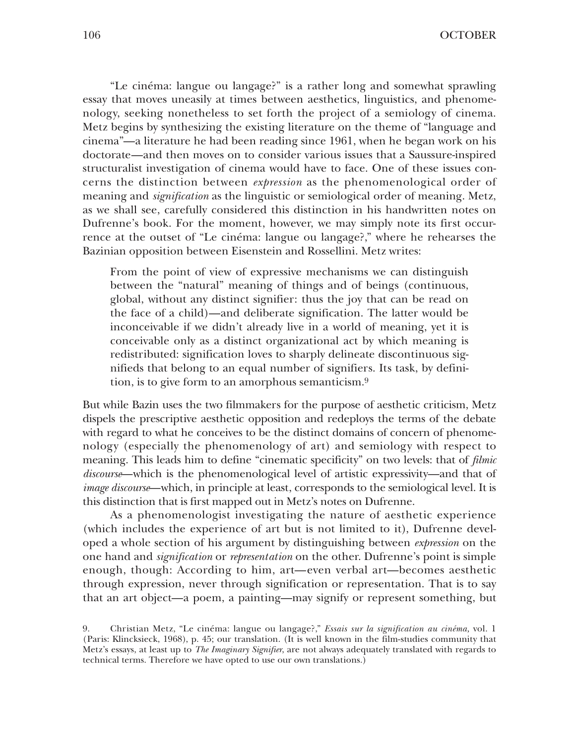"Le cinéma: langue ou langage?" is a rather long and somewhat sprawling essay that moves uneasily at times between aesthetics, linguistics, and phenomenology, seeking nonetheless to set forth the project of a semiology of cinema. Metz begins by synthesizing the existing literature on the theme of "language and cinema"—a literature he had been reading since 1961, when he began work on his doctorate—and then moves on to consider various issues that a Saussure-inspired structuralist investigation of cinema would have to face. One of these issues concerns the distinction between *expression* as the phenomenological order of meaning and *signification* as the linguistic or semiological order of meaning. Metz, as we shall see, carefully considered this distinction in his handwritten notes on Dufrenne's book. For the moment, however, we may simply note its first occurrence at the outset of "Le cinéma: langue ou langage?," where he rehearses the Bazinian opposition between Eisenstein and Rossellini. Metz writes:

From the point of view of expressive mechanisms we can distinguish between the "natural" meaning of things and of beings (continuous, global, without any distinct signifier: thus the joy that can be read on the face of a child)—and deliberate signification. The latter would be inconceivable if we didn't already live in a world of meaning, yet it is conceivable only as a distinct organizational act by which meaning is redistributed: signification loves to sharply delineate discontinuous signifieds that belong to an equal number of signifiers. Its task, by definition, is to give form to an amorphous semanticism.9

But while Bazin uses the two filmmakers for the purpose of aesthetic criticism, Metz dispels the prescriptive aesthetic opposition and redeploys the terms of the debate with regard to what he conceives to be the distinct domains of concern of phenomenology (especially the phenomenology of art) and semiology with respect to meaning. This leads him to define "cinematic specificity" on two levels: that of *filmic discourse*—which is the phenomenological level of artistic expressivity—and that of *image discourse*—which, in principle at least, corresponds to the semiological level. It is this distinction that is first mapped out in Metz's notes on Dufrenne.

 As a phenomenologist investigating the nature of aesthetic experience (which includes the experience of art but is not limited to it), Dufrenne developed a whole section of his argument by distinguishing between *expression* on the one hand and *signification* or *representation* on the other. Dufrenne's point is simple enough, though: According to him, art—even verbal art—becomes aesthetic through expression, never through signification or representation. That is to say that an art object—a poem, a painting—may signify or represent something, but

<sup>9.</sup> Christian Metz, "Le cinéma: langue ou langage?," *Essais sur la signification au cinéma,* vol. 1 (Paris: Klincksieck, 1968), p. 45; our translation. (It is well known in the film-studies community that Metz's essays, at least up to *The Imaginary Signifier*, are not always adequately translated with regards to technical terms. Therefore we have opted to use our own translations.)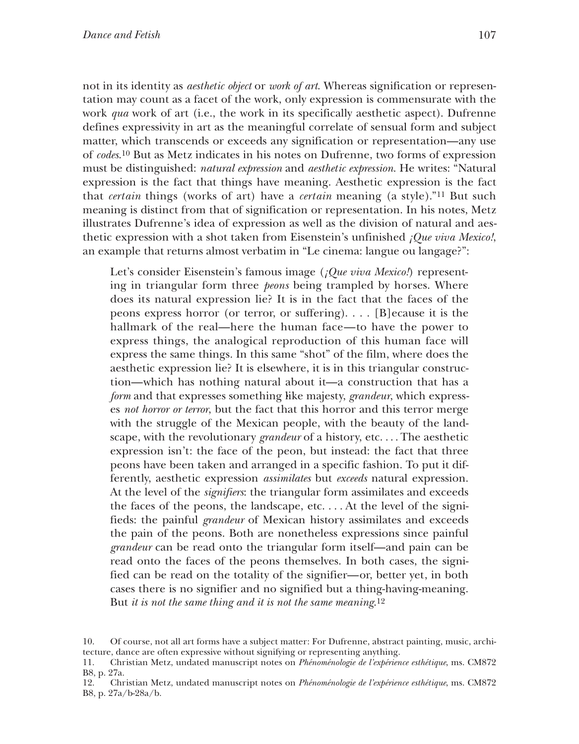not in its identity as *aesthetic object* or *work of art*. Whereas signification or representation may count as a facet of the work, only expression is commensurate with the work *qua* work of art (i.e., the work in its specifically aesthetic aspect). Dufrenne defines expressivity in art as the meaningful correlate of sensual form and subject matter, which transcends or exceeds any signification or representation—any use of *codes*.10 But as Metz indicates in his notes on Dufrenne, two forms of expression must be distinguished: *natural expression* and *aesthetic expression*. He writes: "Natural expression is the fact that things have meaning. Aesthetic expression is the fact that *certain* things (works of art) have a *certain* meaning (a style)."11 But such meaning is distinct from that of signification or representation. In his notes, Metz illustrates Dufrenne's idea of expression as well as the division of natural and aesthetic expression with a shot taken from Eisenstein's unfinished *¡Que viva Mexico!*, an example that returns almost verbatim in "Le cinema: langue ou langage?":

Let's consider Eisenstein's famous image (*¡Que viva Mexico!*) representing in triangular form three *peons* being trampled by horses. Where does its natural expression lie? It is in the fact that the faces of the peons express horror (or terror, or suffering). . . . [B]ecause it is the hallmark of the real—here the human face—to have the power to express things, the analogical reproduction of this human face will express the same things. In this same "shot" of the film, where does the aesthetic expression lie? It is elsewhere, it is in this triangular construction—which has nothing natural about it—a construction that has a *form* and that expresses something like majesty, *grandeur*, which expresses *not horror or terror*, but the fact that this horror and this terror merge with the struggle of the Mexican people, with the beauty of the landscape, with the revolutionary *grandeur* of a history, etc. . . . The aesthetic expression isn't: the face of the peon, but instead: the fact that three peons have been taken and arranged in a specific fashion. To put it differently, aesthetic expression *assimilates* but *exceeds* natural expression. At the level of the *signifiers*: the triangular form assimilates and exceeds the faces of the peons, the landscape, etc. . . . At the level of the signifieds: the painful *grandeur* of Mexican history assimilates and exceeds the pain of the peons. Both are nonetheless expressions since painful *grandeur* can be read onto the triangular form itself—and pain can be read onto the faces of the peons themselves. In both cases, the signified can be read on the totality of the signifier—or, better yet, in both cases there is no signifier and no signified but a thing-having-meaning. But *it is not the same thing and it is not the same meaning*.12

<sup>10.</sup> Of course, not all art forms have a subject matter: For Dufrenne, abstract painting, music, architecture, dance are often expressive without signifying or representing anything.

<sup>11.</sup> Christian Metz, undated manuscript notes on *Phénoménologie de l'expérience esthétique*, ms. CM872 B8, p. 27a.

<sup>12.</sup> Christian Metz, undated manuscript notes on *Phénoménologie de l'expérience esthétique*, ms. CM872 B8, p. 27a/b-28a/b.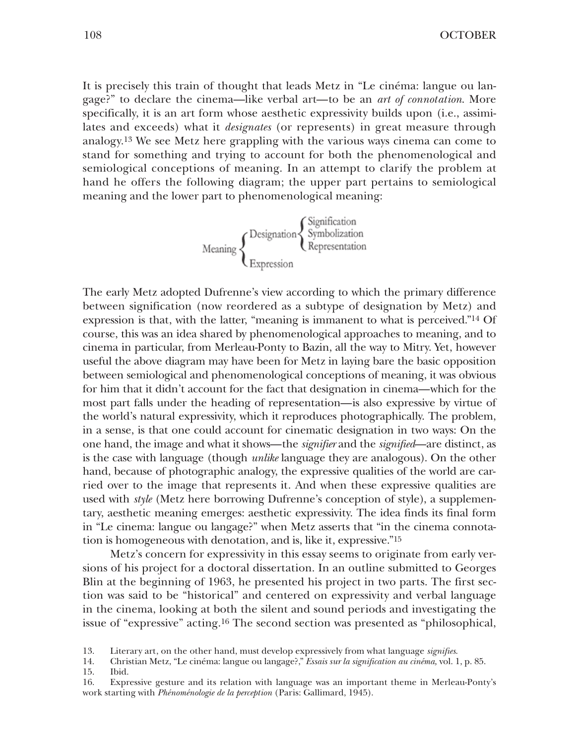It is precisely this train of thought that leads Metz in "Le cinéma: langue ou langage?" to declare the cinema—like verbal art—to be an *art of connotation*. More specifically, it is an art form whose aesthetic expressivity builds upon (i.e., assimilates and exceeds) what it *designates* (or represents) in great measure through analogy.13 We see Metz here grappling with the various ways cinema can come to stand for something and trying to account for both the phenomenological and semiological conceptions of meaning. In an attempt to clarify the problem at hand he offers the following diagram; the upper part pertains to semiological meaning and the lower part to phenomenological meaning:



The early Metz adopted Dufrenne's view according to which the primary difference between signification (now reordered as a subtype of designation by Metz) and expression is that, with the latter, "meaning is immanent to what is perceived."14 Of course, this was an idea shared by phenomenological approaches to meaning, and to cinema in particular, from Merleau-Ponty to Bazin, all the way to Mitry. Yet, however useful the above diagram may have been for Metz in laying bare the basic opposition between semiological and phenomenological conceptions of meaning, it was obvious for him that it didn't account for the fact that designation in cinema—which for the most part falls under the heading of representation—is also expressive by virtue of the world's natural expressivity, which it reproduces photographically. The problem, in a sense, is that one could account for cinematic designation in two ways: On the one hand, the image and what it shows—the *signifier* and the *signified*—are distinct, as is the case with language (though *unlike* language they are analogous). On the other hand, because of photographic analogy, the expressive qualities of the world are carried over to the image that represents it. And when these expressive qualities are used with *style* (Metz here borrowing Dufrenne's conception of style), a supplementary, aesthetic meaning emerges: aesthetic expressivity. The idea finds its final form in "Le cinema: langue ou langage?" when Metz asserts that "in the cinema connotation is homogeneous with denotation, and is, like it, expressive."15

 Metz's concern for expressivity in this essay seems to originate from early versions of his project for a doctoral dissertation. In an outline submitted to Georges Blin at the beginning of 1963, he presented his project in two parts. The first section was said to be "historical" and centered on expressivity and verbal language in the cinema, looking at both the silent and sound periods and investigating the issue of "expressive" acting.16 The second section was presented as "philosophical,

- 15. Ibid.
- 16. Expressive gesture and its relation with language was an important theme in Merleau-Ponty's work starting with *Phénoménologie de la perception* (Paris: Gallimard, 1945).

<sup>13.</sup> Literary art, on the other hand, must develop expressively from what language *signifies*.

<sup>14.</sup> Christian Metz, "Le cinéma: langue ou langage?," *Essais sur la signification au cinéma,* vol. 1, p. 85.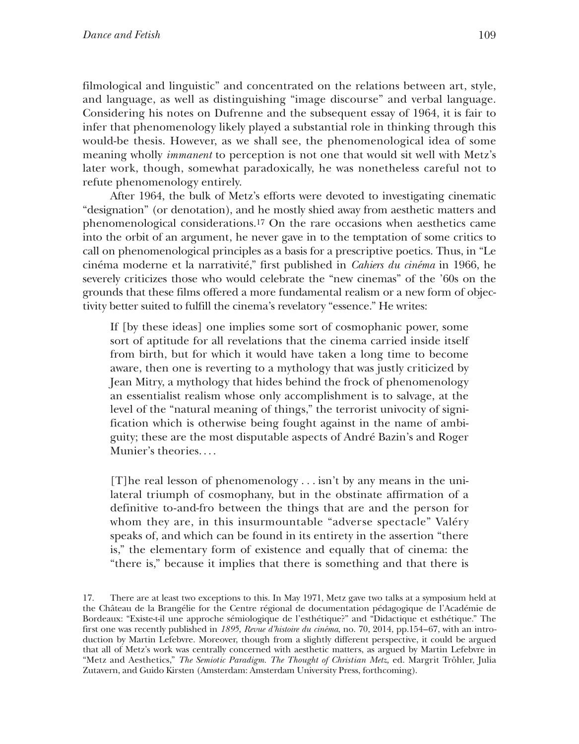filmological and linguistic" and concentrated on the relations between art, style, and language, as well as distinguishing "image discourse" and verbal language. Considering his notes on Dufrenne and the subsequent essay of 1964, it is fair to infer that phenomenology likely played a substantial role in thinking through this would-be thesis. However, as we shall see, the phenomenological idea of some meaning wholly *immanent* to perception is not one that would sit well with Metz's later work, though, somewhat paradoxically, he was nonetheless careful not to refute phenomenology entirely.

 After 1964, the bulk of Metz's efforts were devoted to investigating cinematic "designation" (or denotation), and he mostly shied away from aesthetic matters and phenomenological considerations.17 On the rare occasions when aesthetics came into the orbit of an argument, he never gave in to the temptation of some critics to call on phenomenological principles as a basis for a prescriptive poetics. Thus, in "Le cinéma moderne et la narrativité," first published in *Cahiers du cinéma* in 1966, he severely criticizes those who would celebrate the "new cinemas" of the '60s on the grounds that these films offered a more fundamental realism or a new form of objectivity better suited to fulfill the cinema's revelatory "essence." He writes:

If [by these ideas] one implies some sort of cosmophanic power, some sort of aptitude for all revelations that the cinema carried inside itself from birth, but for which it would have taken a long time to become aware, then one is reverting to a mythology that was justly criticized by Jean Mitry, a mythology that hides behind the frock of phenomenology an essentialist realism whose only accomplishment is to salvage, at the level of the "natural meaning of things," the terrorist univocity of signification which is otherwise being fought against in the name of ambiguity; these are the most disputable aspects of André Bazin's and Roger Munier's theories. . . .

[T]he real lesson of phenomenology . . . isn't by any means in the unilateral triumph of cosmophany, but in the obstinate affirmation of a definitive to-and-fro between the things that are and the person for whom they are, in this insurmountable "adverse spectacle" Valéry speaks of, and which can be found in its entirety in the assertion "there is," the elementary form of existence and equally that of cinema: the "there is," because it implies that there is something and that there is

<sup>17.</sup> There are at least two exceptions to this. In May 1971, Metz gave two talks at a symposium held at the Château de la Brangélie for the Centre régional de documentation pédagogique de l'Académie de Bordeaux: "Existe-t-il une approche sémiologique de l'esthétique?" and "Didactique et esthétique." The first one was recently published in *1895, Revue d'histoire du cinéma*, no. 70, 2014, pp.154–67, with an introduction by Martin Lefebvre. Moreover, though from a slightly different perspective, it could be argued that all of Metz's work was centrally concerned with aesthetic matters, as argued by Martin Lefebvre in "Metz and Aesthetics," *The Semiotic Paradigm. The Thought of Christian Metz,* ed. Margrit Tröhler, Julia Zutavern, and Guido Kirsten (Amsterdam: Amsterdam University Press, forthcoming).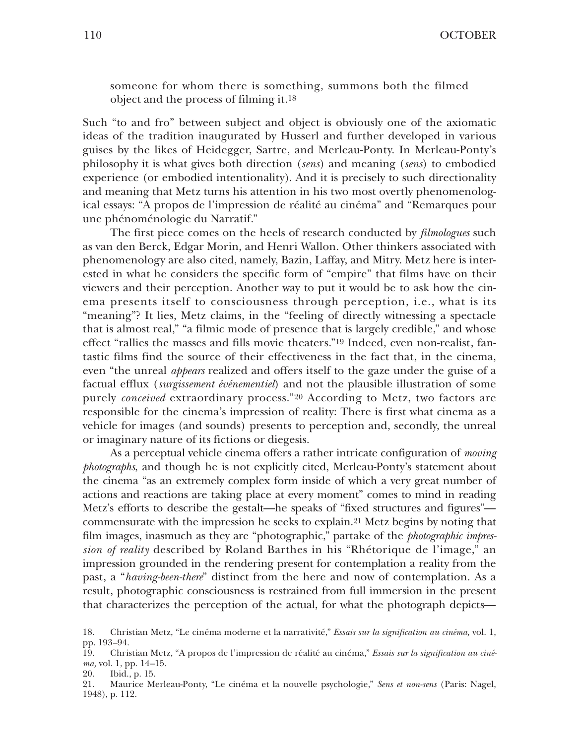someone for whom there is something, summons both the filmed object and the process of filming it.18

Such "to and fro" between subject and object is obviously one of the axiomatic ideas of the tradition inaugurated by Husserl and further developed in various guises by the likes of Heidegger, Sartre, and Merleau-Ponty. In Merleau-Ponty's philosophy it is what gives both direction (*sens*) and meaning (*sens*) to embodied experience (or embodied intentionality). And it is precisely to such directionality and meaning that Metz turns his attention in his two most overtly phenomenological essays: "A propos de l'impression de réalité au cinéma" and "Remarques pour une phénoménologie du Narratif."

 The first piece comes on the heels of research conducted by *filmologues* such as van den Berck, Edgar Morin, and Henri Wallon. Other thinkers associated with phenomenology are also cited, namely, Bazin, Laffay, and Mitry. Metz here is interested in what he considers the specific form of "empire" that films have on their viewers and their perception. Another way to put it would be to ask how the cinema presents itself to consciousness through perception, i.e., what is its "meaning"? It lies, Metz claims, in the "feeling of directly witnessing a spectacle that is almost real," "a filmic mode of presence that is largely credible," and whose effect "rallies the masses and fills movie theaters."19 Indeed, even non-realist, fantastic films find the source of their effectiveness in the fact that, in the cinema, even "the unreal *appears* realized and offers itself to the gaze under the guise of a factual efflux (*surgissement événementiel*) and not the plausible illustration of some purely *conceived* extraordinary process."20 According to Metz, two factors are responsible for the cinema's impression of reality: There is first what cinema as a vehicle for images (and sounds) presents to perception and, secondly, the unreal or imaginary nature of its fictions or diegesis.

 As a perceptual vehicle cinema offers a rather intricate configuration of *moving photographs*, and though he is not explicitly cited, Merleau-Ponty's statement about the cinema "as an extremely complex form inside of which a very great number of actions and reactions are taking place at every moment" comes to mind in reading Metz's efforts to describe the gestalt—he speaks of "fixed structures and figures" commensurate with the impression he seeks to explain.21 Metz begins by noting that film images, inasmuch as they are "photographic," partake of the *photographic impression of reality* described by Roland Barthes in his "Rhétorique de l'image," an impression grounded in the rendering present for contemplation a reality from the past, a "*having-been-there*" distinct from the here and now of contemplation. As a result, photographic consciousness is restrained from full immersion in the present that characterizes the perception of the actual, for what the photograph depicts—

<sup>18.</sup> Christian Metz, "Le cinéma moderne et la narrativité," *Essais sur la signification au cinéma,* vol. 1, pp. 193–94.

<sup>19.</sup> Christian Metz, "A propos de l'impression de réalité au cinéma," *Essais sur la signification au cinéma,* vol. 1, pp. 14–15.

<sup>20.</sup> Ibid., p. 15.

<sup>21.</sup> Maurice Merleau-Ponty, "Le cinéma et la nouvelle psychologie," *Sens et non-sens* (Paris: Nagel, 1948), p. 112.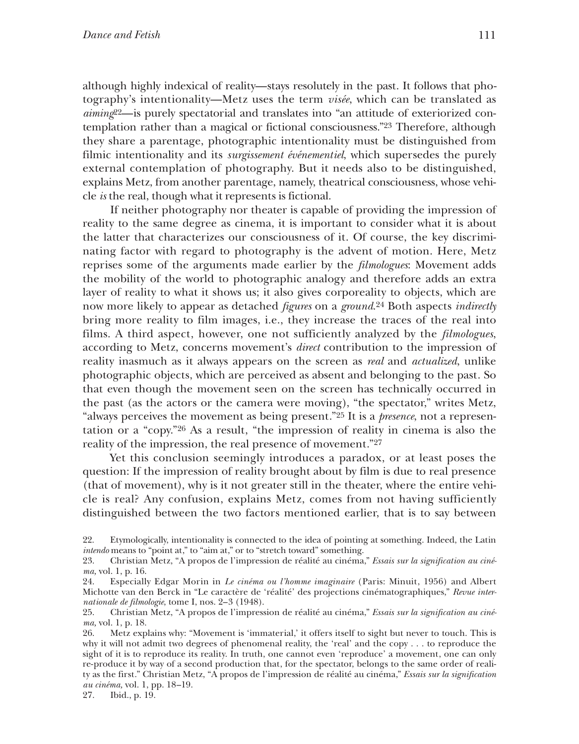although highly indexical of reality—stays resolutely in the past. It follows that photography's intentionality—Metz uses the term *visée*, which can be translated as *aiming*22—is purely spectatorial and translates into "an attitude of exteriorized contemplation rather than a magical or fictional consciousness."23 Therefore, although they share a parentage, photographic intentionality must be distinguished from filmic intentionality and its *surgissement événementiel*, which supersedes the purely external contemplation of photography. But it needs also to be distinguished, explains Metz, from another parentage, namely, theatrical consciousness, whose vehicle *is* the real, though what it represents is fictional.

 If neither photography nor theater is capable of providing the impression of reality to the same degree as cinema, it is important to consider what it is about the latter that characterizes our consciousness of it. Of course, the key discriminating factor with regard to photography is the advent of motion. Here, Metz reprises some of the arguments made earlier by the *filmologues*: Movement adds the mobility of the world to photographic analogy and therefore adds an extra layer of reality to what it shows us; it also gives corporeality to objects, which are now more likely to appear as detached *figures* on a *ground*.24 Both aspects *indirectly* bring more reality to film images, i.e., they increase the traces of the real into films. A third aspect, however, one not sufficiently analyzed by the *filmologues*, according to Metz, concerns movement's *direct* contribution to the impression of reality inasmuch as it always appears on the screen as *real* and *actualized*, unlike photographic objects, which are perceived as absent and belonging to the past. So that even though the movement seen on the screen has technically occurred in the past (as the actors or the camera were moving), "the spectator," writes Metz, "always perceives the movement as being present."25 It is a *presence*, not a representation or a "copy."26 As a result, "the impression of reality in cinema is also the reality of the impression, the real presence of movement."27

 Yet this conclusion seemingly introduces a paradox, or at least poses the question: If the impression of reality brought about by film is due to real presence (that of movement), why is it not greater still in the theater, where the entire vehicle is real? Any confusion, explains Metz, comes from not having sufficiently distinguished between the two factors mentioned earlier, that is to say between

27. Ibid., p. 19.

<sup>22.</sup> Etymologically, intentionality is connected to the idea of pointing at something. Indeed, the Latin *intendo* means to "point at," to "aim at," or to "stretch toward" something.

<sup>23.</sup> Christian Metz, "A propos de l'impression de réalité au cinéma," *Essais sur la signification au cinéma,* vol. 1, p. 16.

<sup>24.</sup> Especially Edgar Morin in *Le cinéma ou l'homme imaginaire* (Paris: Minuit, 1956) and Albert Michotte van den Berck in "Le caractère de 'réalité' des projections cinématographiques," *Revue internationale de filmologie*, tome I, nos. 2–3 (1948).

<sup>25.</sup> Christian Metz, "A propos de l'impression de réalité au cinéma," *Essais sur la signification au cinéma,* vol. 1, p. 18.

<sup>26.</sup> Metz explains why: "Movement is 'immaterial,' it offers itself to sight but never to touch. This is why it will not admit two degrees of phenomenal reality, the 'real' and the copy . . . to reproduce the sight of it is to reproduce its reality. In truth, one cannot even 'reproduce' a movement, one can only re-produce it by way of a second production that, for the spectator, belongs to the same order of reality as the first." Christian Metz, "A propos de l'impression de réalité au cinéma," *Essais sur la signification au cinéma,* vol. 1, pp. 18–19.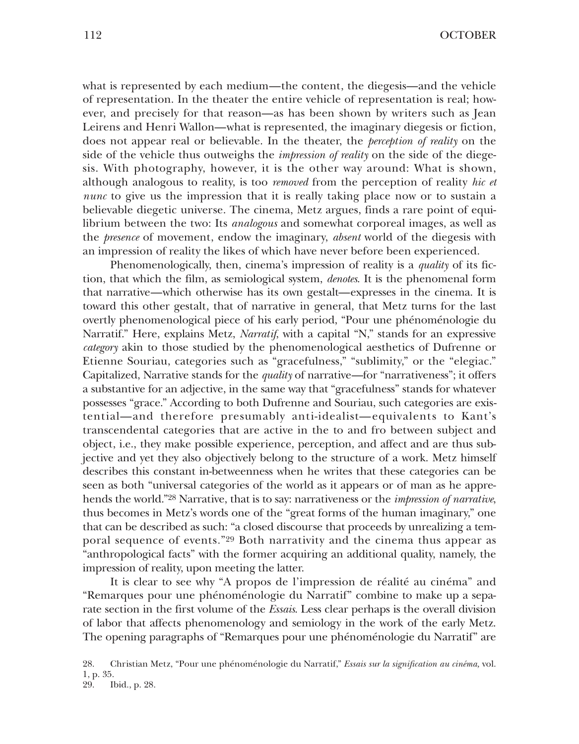what is represented by each medium—the content, the diegesis—and the vehicle of representation. In the theater the entire vehicle of representation is real; however, and precisely for that reason—as has been shown by writers such as Jean Leirens and Henri Wallon—what is represented, the imaginary diegesis or fiction, does not appear real or believable. In the theater, the *perception of reality* on the side of the vehicle thus outweighs the *impression of reality* on the side of the diegesis. With photography, however, it is the other way around: What is shown, although analogous to reality, is too *removed* from the perception of reality *hic et nunc* to give us the impression that it is really taking place now or to sustain a believable diegetic universe. The cinema, Metz argues, finds a rare point of equilibrium between the two: Its *analogous* and somewhat corporeal images, as well as the *presence* of movement, endow the imaginary, *absent* world of the diegesis with an impression of reality the likes of which have never before been experienced.

 Phenomenologically, then, cinema's impression of reality is a *quality* of its fiction, that which the film, as semiological system, *denotes*. It is the phenomenal form that narrative—which otherwise has its own gestalt—expresses in the cinema. It is toward this other gestalt, that of narrative in general, that Metz turns for the last overtly phenomenological piece of his early period, "Pour une phénoménologie du Narratif." Here, explains Metz, *Narratif*, with a capital "N," stands for an expressive *category* akin to those studied by the phenomenological aesthetics of Dufrenne or Etienne Souriau, categories such as "gracefulness," "sublimity," or the "elegiac." Capitalized, Narrative stands for the *quality* of narrative—for "narrativeness"; it offers a substantive for an adjective, in the same way that "gracefulness" stands for whatever possesses "grace." According to both Dufrenne and Souriau, such categories are existential—and therefore presumably anti-idealist—equivalents to Kant's transcendental categories that are active in the to and fro between subject and object, i.e., they make possible experience, perception, and affect and are thus subjective and yet they also objectively belong to the structure of a work. Metz himself describes this constant in-betweenness when he writes that these categories can be seen as both "universal categories of the world as it appears or of man as he apprehends the world."28 Narrative, that is to say: narrativeness or the *impression of narrative*, thus becomes in Metz's words one of the "great forms of the human imaginary," one that can be described as such: "a closed discourse that proceeds by unrealizing a temporal sequence of events*.*"29 Both narrativity and the cinema thus appear as "anthropological facts" with the former acquiring an additional quality, namely, the impression of reality, upon meeting the latter.

 It is clear to see why "A propos de l'impression de réalité au cinéma" and "Remarques pour une phénoménologie du Narratif" combine to make up a separate section in the first volume of the *Essais*. Less clear perhaps is the overall division of labor that affects phenomenology and semiology in the work of the early Metz. The opening paragraphs of "Remarques pour une phénoménologie du Narratif" are

29. Ibid., p. 28.

<sup>28.</sup> Christian Metz, "Pour une phénoménologie du Narratif," *Essais sur la signification au cinéma,* vol. 1, p. 35.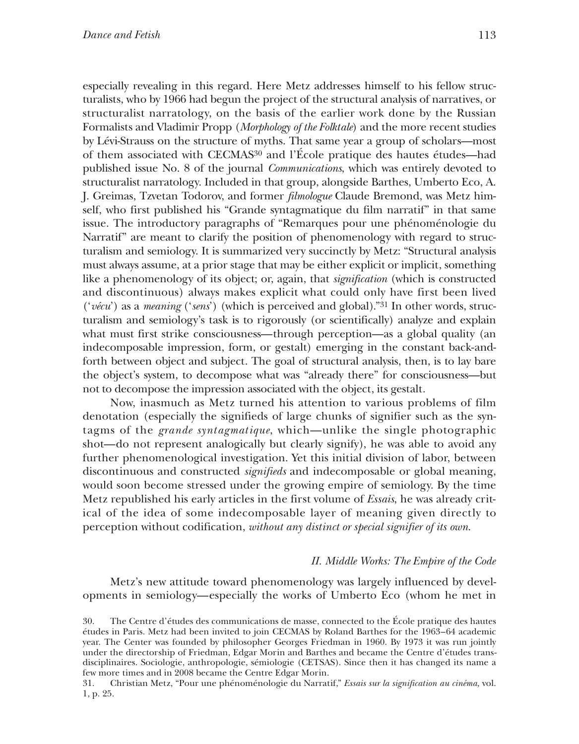especially revealing in this regard. Here Metz addresses himself to his fellow structuralists, who by 1966 had begun the project of the structural analysis of narratives, or structuralist narratology, on the basis of the earlier work done by the Russian Formalists and Vladimir Propp (*Morphology of the Folktale*) and the more recent studies by Lévi-Strauss on the structure of myths. That same year a group of scholars—most of them associated with CECMAS30 and l'École pratique des hautes études—had published issue No. 8 of the journal *Communications*, which was entirely devoted to structuralist narratology. Included in that group, alongside Barthes, Umberto Eco, A. J. Greimas, Tzvetan Todorov, and former *filmologue* Claude Bremond, was Metz himself, who first published his "Grande syntagmatique du film narratif" in that same issue. The introductory paragraphs of "Remarques pour une phénoménologie du Narratif" are meant to clarify the position of phenomenology with regard to structuralism and semiology. It is summarized very succinctly by Metz: "Structural analysis must always assume, at a prior stage that may be either explicit or implicit, something like a phenomenology of its object; or, again, that *signification* (which is constructed and discontinuous) always makes explicit what could only have first been lived ('*vécu*') as a *meaning* ('*sens*') (which is perceived and global)."31 In other words, structuralism and semiology's task is to rigorously (or scientifically) analyze and explain what must first strike consciousness—through perception—as a global quality (an indecomposable impression, form, or gestalt) emerging in the constant back-andforth between object and subject. The goal of structural analysis, then, is to lay bare the object's system, to decompose what was "already there" for consciousness—but not to decompose the impression associated with the object, its gestalt.

 Now, inasmuch as Metz turned his attention to various problems of film denotation (especially the signifieds of large chunks of signifier such as the syntagms of the *grande syntagmatique*, which—unlike the single photographic shot—do not represent analogically but clearly signify), he was able to avoid any further phenomenological investigation. Yet this initial division of labor, between discontinuous and constructed *signifieds* and indecomposable or global meaning, would soon become stressed under the growing empire of semiology. By the time Metz republished his early articles in the first volume of *Essais*, he was already critical of the idea of some indecomposable layer of meaning given directly to perception without codification, *without any distinct or special signifier of its own*.

### *II. Middle Works: The Empire of the Code*

Metz's new attitude toward phenomenology was largely influenced by developments in semiology—especially the works of Umberto Eco (whom he met in

<sup>30.</sup> The Centre d'études des communications de masse, connected to the École pratique des hautes études in Paris. Metz had been invited to join CECMAS by Roland Barthes for the 1963–64 academic year. The Center was founded by philosopher Georges Friedman in 1960. By 1973 it was run jointly under the directorship of Friedman, Edgar Morin and Barthes and became the Centre d'études transdisciplinaires. Sociologie, anthropologie, sémiologie (CETSAS). Since then it has changed its name a few more times and in 2008 became the Centre Edgar Morin.

<sup>31.</sup> Christian Metz, "Pour une phénoménologie du Narratif," *Essais sur la signification au cinéma,* vol. 1, p. 25.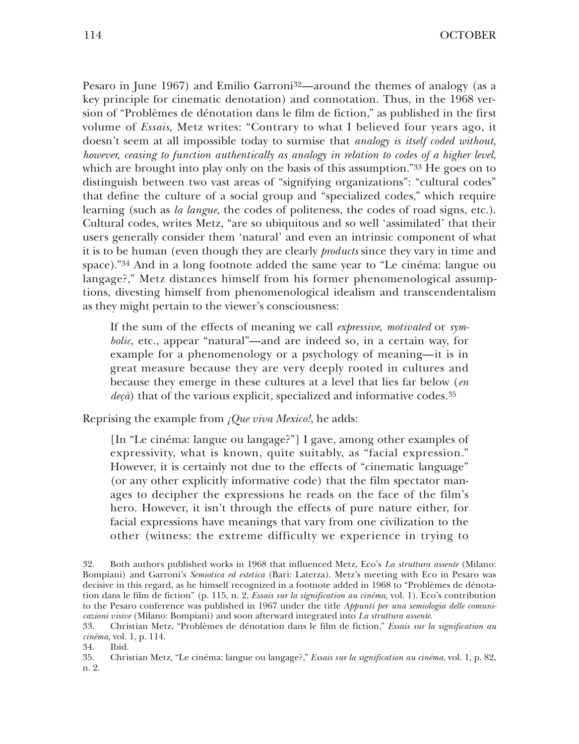Pesaro in June 1967) and Emilio Garroni32—around the themes of analogy (as a key principle for cinematic denotation) and connotation. Thus, in the 1968 version of "Problèmes de dénotation dans le film de fiction," as published in the first volume of *Essais*, Metz writes: "Contrary to what I believed four years ago, it doesn't seem at all impossible today to surmise that *analogy is itself coded without, however, ceasing to function authentically as analogy in relation to codes of a higher level*,

which are brought into play only on the basis of this assumption."<sup>33</sup> He goes on to distinguish between two vast areas of "signifying organizations": "cultural codes" that define the culture of a social group and "specialized codes," which require learning (such as *la langue*, the codes of politeness, the codes of road signs, etc.). Cultural codes, writes Metz, "are so ubiquitous and so well 'assimilated' that their users generally consider them 'natural' and even an intrinsic component of what it is to be human (even though they are clearly *products* since they vary in time and space)."34 And in a long footnote added the same year to "Le cinéma: langue ou langage?," Metz distances himself from his former phenomenological assumptions, divesting himself from phenomenological idealism and transcendentalism as they might pertain to the viewer's consciousness:

If the sum of the effects of meaning we call *expressive*, *motivated* or *symbolic*, etc., appear "natural"—and are indeed so, in a certain way, for example for a phenomenology or a psychology of meaning—it is in great measure because they are very deeply rooted in cultures and because they emerge in these cultures at a level that lies far below (*en deçà*) that of the various explicit, specialized and informative codes.35

Reprising the example from *¡Que viva Mexico!*, he adds:

[In "Le cinéma: langue ou langage?"] I gave, among other examples of expressivity, what is known, quite suitably, as "facial expression." However, it is certainly not due to the effects of "cinematic language" (or any other explicitly informative code) that the film spectator manages to decipher the expressions he reads on the face of the film's hero. However, it isn't through the effects of pure nature either, for facial expressions have meanings that vary from one civilization to the other (witness: the extreme difficulty we experience in trying to

32. Both authors published works in 1968 that influenced Metz, Eco's *La struttura assente* (Milano: Bompiani) and Garroni's *Semiotica ed estetica* (Bari: Laterza). Metz's meeting with Eco in Pesaro was decisive in this regard, as he himself recognized in a footnote added in 1968 to "Problèmes de dénotation dans le film de fiction" (p. 115, n. 2, *Essais sur la signification au cinéma,* vol. 1). Eco's contribution to the Pesaro conference was published in 1967 under the title *Appunti per una semiologia delle comunicazioni visive* (Milano: Bompiani) and soon afterward integrated into *La struttura assente*.

33. Christian Metz, "Problèmes de dénotation dans le film de fiction," *Essais sur la signification au cinéma,* vol. 1, p. 114.

34. Ibid.

35. Christian Metz, "Le cinéma: langue ou langage?," *Essais sur la signification au cinéma,* vol. 1, p. 82, n. 2.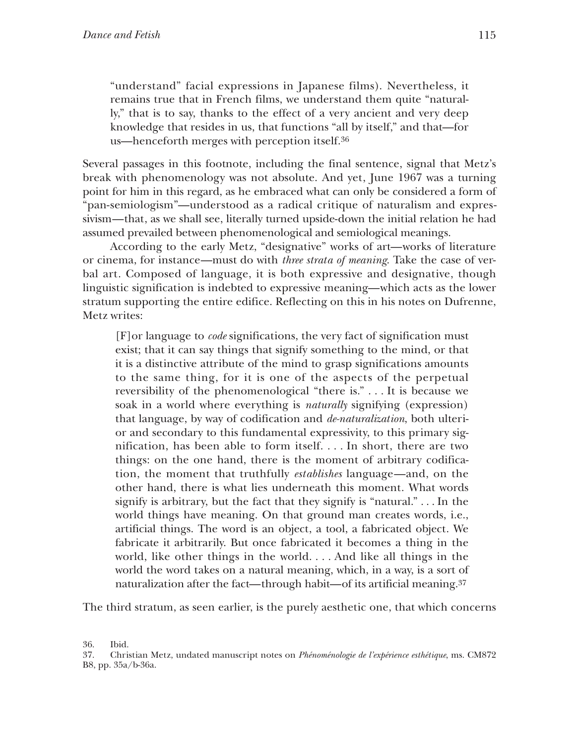"understand" facial expressions in Japanese films). Nevertheless, it remains true that in French films, we understand them quite "naturally," that is to say, thanks to the effect of a very ancient and very deep knowledge that resides in us, that functions "all by itself," and that—for us—henceforth merges with perception itself.36

Several passages in this footnote, including the final sentence, signal that Metz's break with phenomenology was not absolute. And yet, June 1967 was a turning point for him in this regard, as he embraced what can only be considered a form of "pan-semiologism"—understood as a radical critique of naturalism and expressivism—that, as we shall see, literally turned upside-down the initial relation he had assumed prevailed between phenomenological and semiological meanings.

 According to the early Metz, "designative" works of art—works of literature or cinema, for instance—must do with *three strata of meaning*. Take the case of verbal art. Composed of language, it is both expressive and designative, though linguistic signification is indebted to expressive meaning—which acts as the lower stratum supporting the entire edifice. Reflecting on this in his notes on Dufrenne, Metz writes:

[F]or language to *code* significations, the very fact of signification must exist; that it can say things that signify something to the mind, or that it is a distinctive attribute of the mind to grasp significations amounts to the same thing, for it is one of the aspects of the perpetual reversibility of the phenomenological "there is." . . . It is because we soak in a world where everything is *naturally* signifying (expression) that language, by way of codification and *de-naturalization*, both ulterior and secondary to this fundamental expressivity, to this primary signification, has been able to form itself. . . . In short, there are two things: on the one hand, there is the moment of arbitrary codification, the moment that truthfully *establishes* language—and, on the other hand, there is what lies underneath this moment. What words signify is arbitrary, but the fact that they signify is "natural." . . . In the world things have meaning. On that ground man creates words, i.e., artificial things. The word is an object, a tool, a fabricated object. We fabricate it arbitrarily. But once fabricated it becomes a thing in the world, like other things in the world. . . . And like all things in the world the word takes on a natural meaning, which, in a way, is a sort of naturalization after the fact—through habit—of its artificial meaning.37

The third stratum, as seen earlier, is the purely aesthetic one, that which concerns

<sup>36.</sup> Ibid.

<sup>37.</sup> Christian Metz, undated manuscript notes on *Phénoménologie de l'expérience esthétique*, ms. CM872 B8, pp. 35a/b-36a.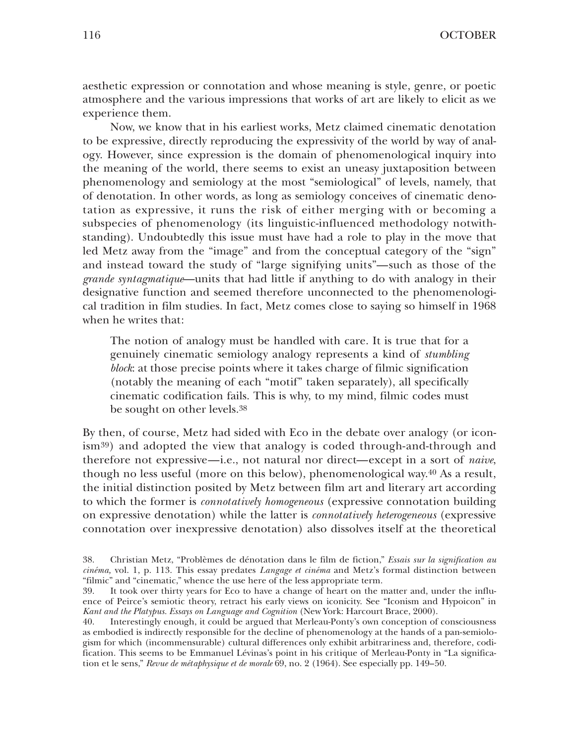aesthetic expression or connotation and whose meaning is style, genre, or poetic atmosphere and the various impressions that works of art are likely to elicit as we experience them.

 Now, we know that in his earliest works, Metz claimed cinematic denotation to be expressive, directly reproducing the expressivity of the world by way of analogy. However, since expression is the domain of phenomenological inquiry into the meaning of the world, there seems to exist an uneasy juxtaposition between phenomenology and semiology at the most "semiological" of levels, namely, that of denotation. In other words, as long as semiology conceives of cinematic denotation as expressive, it runs the risk of either merging with or becoming a subspecies of phenomenology (its linguistic-influenced methodology notwithstanding). Undoubtedly this issue must have had a role to play in the move that led Metz away from the "image" and from the conceptual category of the "sign" and instead toward the study of "large signifying units"—such as those of the *grande syntagmatique*—units that had little if anything to do with analogy in their designative function and seemed therefore unconnected to the phenomenological tradition in film studies. In fact, Metz comes close to saying so himself in 1968 when he writes that:

The notion of analogy must be handled with care. It is true that for a genuinely cinematic semiology analogy represents a kind of *stumbling block*: at those precise points where it takes charge of filmic signification (notably the meaning of each "motif" taken separately), all specifically cinematic codification fails. This is why, to my mind, filmic codes must be sought on other levels.38

By then, of course, Metz had sided with Eco in the debate over analogy (or icon- $\sin^{39}$  and adopted the view that analogy is coded through-and-through and therefore not expressive—i.e., not natural nor direct—except in a sort of *naive*, though no less useful (more on this below), phenomenological way.<sup>40</sup> As a result, the initial distinction posited by Metz between film art and literary art according to which the former is *connotatively homogeneous* (expressive connotation building on expressive denotation) while the latter is *connotatively heterogeneous* (expressive connotation over inexpressive denotation) also dissolves itself at the theoretical

<sup>38.</sup> Christian Metz, "Problèmes de dénotation dans le film de fiction," *Essais sur la signification au cinéma,* vol. 1, p. 113. This essay predates *Langage et cinéma* and Metz's formal distinction between "filmic" and "cinematic," whence the use here of the less appropriate term.

<sup>39.</sup> It took over thirty years for Eco to have a change of heart on the matter and, under the influence of Peirce's semiotic theory, retract his early views on iconicity. See "Iconism and Hypoicon" in *Kant and the Platypus. Essays on Language and Cognition* (New York: Harcourt Brace, 2000).

<sup>40.</sup> Interestingly enough, it could be argued that Merleau-Ponty's own conception of consciousness as embodied is indirectly responsible for the decline of phenomenology at the hands of a pan-semiologism for which (incommensurable) cultural differences only exhibit arbitrariness and, therefore, codification. This seems to be Emmanuel Lévinas's point in his critique of Merleau-Ponty in "La signification et le sens," *Revue de métaphysique et de morale* 69, no. 2 (1964). See especially pp. 149–50.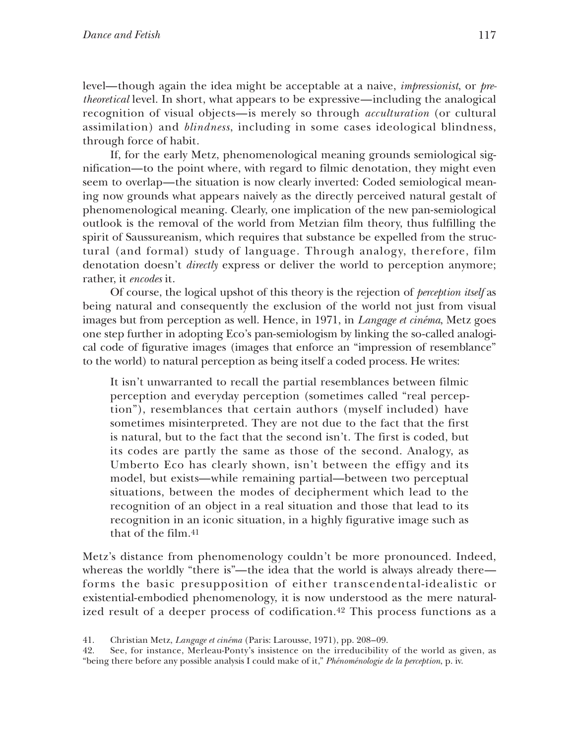level—though again the idea might be acceptable at a naive, *impressionist*, or *pretheoretical* level. In short, what appears to be expressive—including the analogical recognition of visual objects—is merely so through *acculturation* (or cultural assimilation) and *blindness*, including in some cases ideological blindness, through force of habit.

 If, for the early Metz, phenomenological meaning grounds semiological signification—to the point where, with regard to filmic denotation, they might even seem to overlap—the situation is now clearly inverted: Coded semiological meaning now grounds what appears naively as the directly perceived natural gestalt of phenomenological meaning. Clearly, one implication of the new pan-semiological outlook is the removal of the world from Metzian film theory, thus fulfilling the spirit of Saussureanism, which requires that substance be expelled from the structural (and formal) study of language. Through analogy, therefore, film denotation doesn't *directly* express or deliver the world to perception anymore; rather, it *encodes* it.

 Of course, the logical upshot of this theory is the rejection of *perception itself* as being natural and consequently the exclusion of the world not just from visual images but from perception as well. Hence, in 1971, in *Langage et cinéma*, Metz goes one step further in adopting Eco's pan-semiologism by linking the so-called analogical code of figurative images (images that enforce an "impression of resemblance" to the world) to natural perception as being itself a coded process. He writes:

It isn't unwarranted to recall the partial resemblances between filmic perception and everyday perception (sometimes called "real perception"), resemblances that certain authors (myself included) have sometimes misinterpreted. They are not due to the fact that the first is natural, but to the fact that the second isn't. The first is coded, but its codes are partly the same as those of the second. Analogy, as Umberto Eco has clearly shown, isn't between the effigy and its model, but exists—while remaining partial—between two perceptual situations, between the modes of decipherment which lead to the recognition of an object in a real situation and those that lead to its recognition in an iconic situation, in a highly figurative image such as that of the film.41

Metz's distance from phenomenology couldn't be more pronounced. Indeed, whereas the worldly "there is"—the idea that the world is always already there forms the basic presupposition of either transcendental-idealistic or existential-embodied phenomenology, it is now understood as the mere naturalized result of a deeper process of codification.<sup>42</sup> This process functions as a

<sup>41.</sup> Christian Metz, *Langage et cinéma* (Paris: Larousse, 1971), pp. 208–09.

<sup>42.</sup> See, for instance, Merleau-Ponty's insistence on the irreducibility of the world as given, as "being there before any possible analysis I could make of it," *Phénoménologie de la perception*, p. iv.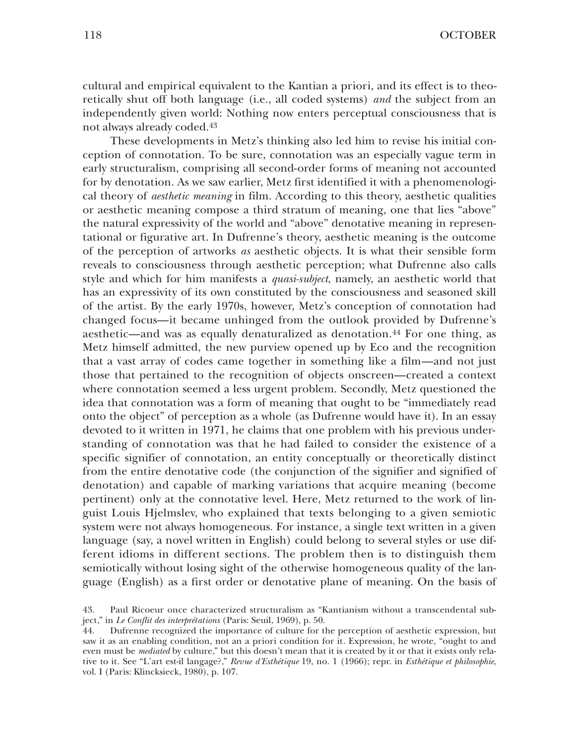cultural and empirical equivalent to the Kantian a priori, and its effect is to theoretically shut off both language (i.e., all coded systems) *and* the subject from an independently given world: Nothing now enters perceptual consciousness that is not always already coded.43

 These developments in Metz's thinking also led him to revise his initial conception of connotation. To be sure, connotation was an especially vague term in early structuralism, comprising all second-order forms of meaning not accounted for by denotation. As we saw earlier, Metz first identified it with a phenomenological theory of *aesthetic meaning* in film. According to this theory, aesthetic qualities or aesthetic meaning compose a third stratum of meaning, one that lies "above" the natural expressivity of the world and "above" denotative meaning in representational or figurative art. In Dufrenne's theory, aesthetic meaning is the outcome of the perception of artworks *as* aesthetic objects. It is what their sensible form reveals to consciousness through aesthetic perception; what Dufrenne also calls style and which for him manifests a *quasi-subject*, namely, an aesthetic world that has an expressivity of its own constituted by the consciousness and seasoned skill of the artist. By the early 1970s, however, Metz's conception of connotation had changed focus—it became unhinged from the outlook provided by Dufrenne's aesthetic—and was as equally denaturalized as denotation.44 For one thing, as Metz himself admitted, the new purview opened up by Eco and the recognition that a vast array of codes came together in something like a film—and not just those that pertained to the recognition of objects onscreen—created a context where connotation seemed a less urgent problem. Secondly, Metz questioned the idea that connotation was a form of meaning that ought to be "immediately read onto the object" of perception as a whole (as Dufrenne would have it). In an essay devoted to it written in 1971, he claims that one problem with his previous understanding of connotation was that he had failed to consider the existence of a specific signifier of connotation, an entity conceptually or theoretically distinct from the entire denotative code (the conjunction of the signifier and signified of denotation) and capable of marking variations that acquire meaning (become pertinent) only at the connotative level. Here, Metz returned to the work of linguist Louis Hjelmslev, who explained that texts belonging to a given semiotic system were not always homogeneous. For instance, a single text written in a given language (say, a novel written in English) could belong to several styles or use different idioms in different sections. The problem then is to distinguish them semiotically without losing sight of the otherwise homogeneous quality of the language (English) as a first order or denotative plane of meaning. On the basis of

<sup>43.</sup> Paul Ricoeur once characterized structuralism as "Kantianism without a transcendental subject," in *Le Conflit des interprétations* (Paris: Seuil, 1969), p. 50.

<sup>44.</sup> Dufrenne recognized the importance of culture for the perception of aesthetic expression, but saw it as an enabling condition, not an a priori condition for it. Expression, he wrote, "ought to and even must be *mediated* by culture," but this doesn't mean that it is created by it or that it exists only relative to it. See "L'art est-il langage?," *Revue d'Esthétique* 19, no. 1 (1966); repr. in *Esthétique et philosophie*, vol. I (Paris: Klincksieck, 1980), p. 107.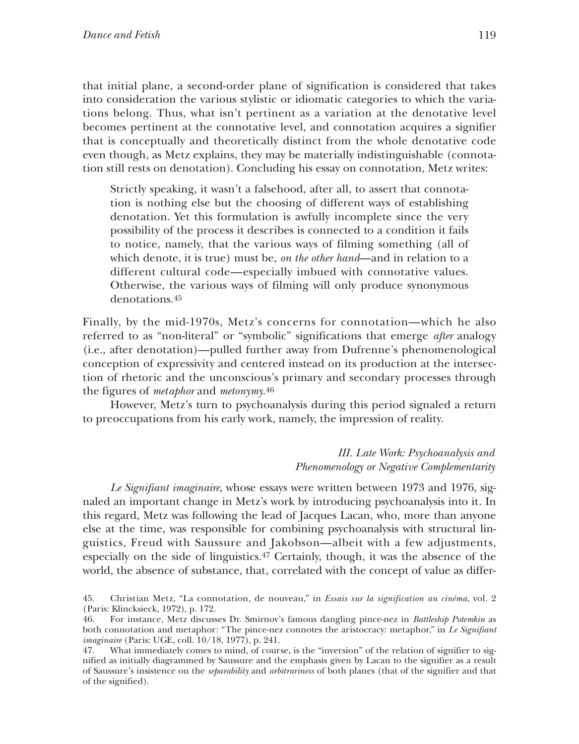that initial plane, a second-order plane of signification is considered that takes into consideration the various stylistic or idiomatic categories to which the variations belong. Thus, what isn't pertinent as a variation at the denotative level becomes pertinent at the connotative level, and connotation acquires a signifier that is conceptually and theoretically distinct from the whole denotative code even though, as Metz explains, they may be materially indistinguishable (connotation still rests on denotation). Concluding his essay on connotation, Metz writes:

Strictly speaking, it wasn't a falsehood, after all, to assert that connotation is nothing else but the choosing of different ways of establishing denotation. Yet this formulation is awfully incomplete since the very possibility of the process it describes is connected to a condition it fails to notice, namely, that the various ways of filming something (all of which denote, it is true) must be, *on the other hand*—and in relation to a different cultural code—especially imbued with connotative values. Otherwise, the various ways of filming will only produce synonymous denotations.45

Finally, by the mid-1970s, Metz's concerns for connotation—which he also referred to as "non-literal" or "symbolic" significations that emerge *after* analogy (i.e., after denotation)—pulled further away from Dufrenne's phenomenological conception of expressivity and centered instead on its production at the intersection of rhetoric and the unconscious's primary and secondary processes through the figures of *metaphor* and *metonymy*.46

 However, Metz's turn to psychoanalysis during this period signaled a return to preoccupations from his early work, namely, the impression of reality.

> *III. Late Work: Psychoanalysis and Phenomenology or Negative Complementarity*

 *Le Signifiant imaginaire*, whose essays were written between 1973 and 1976, signaled an important change in Metz's work by introducing psychoanalysis into it. In this regard, Metz was following the lead of Jacques Lacan, who, more than anyone else at the time, was responsible for combining psychoanalysis with structural linguistics, Freud with Saussure and Jakobson—albeit with a few adjustments, especially on the side of linguistics.47 Certainly, though, it was the absence of the world, the absence of substance, that, correlated with the concept of value as differ-

45. Christian Metz, "La connotation, de nouveau," in *Essais sur la signification au cinéma*, vol. 2 (Paris: Klincksieck, 1972), p. 172.

<sup>46.</sup> For instance, Metz discusses Dr. Smirnov's famous dangling pince-nez in *Battleship Potemkin* as both connotation and metaphor: "The pince-nez connotes the aristocracy: metaphor," in *Le Signifiant imaginaire* (Paris: UGE, coll. 10/18, 1977), p. 241.

<sup>47.</sup> What immediately comes to mind, of course, is the "inversion" of the relation of signifier to signified as initially diagrammed by Saussure and the emphasis given by Lacan to the signifier as a result of Saussure's insistence on the *separability* and *arbitrariness* of both planes (that of the signifier and that of the signified).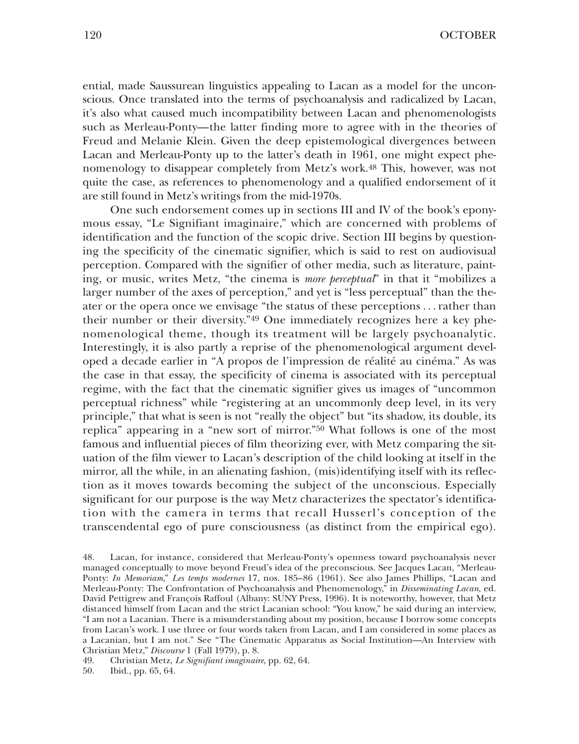ential, made Saussurean linguistics appealing to Lacan as a model for the unconscious. Once translated into the terms of psychoanalysis and radicalized by Lacan, it's also what caused much incompatibility between Lacan and phenomenologists such as Merleau-Ponty—the latter finding more to agree with in the theories of Freud and Melanie Klein. Given the deep epistemological divergences between Lacan and Merleau-Ponty up to the latter's death in 1961, one might expect phenomenology to disappear completely from Metz's work.48 This, however, was not quite the case, as references to phenomenology and a qualified endorsement of it are still found in Metz's writings from the mid-1970s.

 One such endorsement comes up in sections III and IV of the book's eponymous essay, "Le Signifiant imaginaire," which are concerned with problems of identification and the function of the scopic drive. Section III begins by questioning the specificity of the cinematic signifier, which is said to rest on audiovisual perception. Compared with the signifier of other media, such as literature, painting, or music, writes Metz, "the cinema is *more perceptual*" in that it "mobilizes a larger number of the axes of perception," and yet is "less perceptual" than the theater or the opera once we envisage "the status of these perceptions . . . rather than their number or their diversity."49 One immediately recognizes here a key phenomenological theme, though its treatment will be largely psychoanalytic. Interestingly, it is also partly a reprise of the phenomenological argument developed a decade earlier in "A propos de l'impression de réalité au cinéma." As was the case in that essay, the specificity of cinema is associated with its perceptual regime, with the fact that the cinematic signifier gives us images of "uncommon perceptual richness" while "registering at an uncommonly deep level, in its very principle," that what is seen is not "really the object" but "its shadow, its double, its replica" appearing in a "new sort of mirror."50 What follows is one of the most famous and influential pieces of film theorizing ever, with Metz comparing the situation of the film viewer to Lacan's description of the child looking at itself in the mirror, all the while, in an alienating fashion, (mis)identifying itself with its reflection as it moves towards becoming the subject of the unconscious. Especially significant for our purpose is the way Metz characterizes the spectator's identification with the camera in terms that recall Husserl's conception of the transcendental ego of pure consciousness (as distinct from the empirical ego).

<sup>48.</sup> Lacan, for instance, considered that Merleau-Ponty's openness toward psychoanalysis never managed conceptually to move beyond Freud's idea of the preconscious. See Jacques Lacan, "Merleau-Ponty: *In Memoriam*," *Les temps modernes* 17, nos. 185–86 (1961). See also James Phillips, "Lacan and Merleau-Ponty: The Confrontation of Psychoanalysis and Phenomenology," in *Disseminating Lacan*, ed. David Pettigrew and François Raffoul (Albany: SUNY Press, 1996). It is noteworthy, however, that Metz distanced himself from Lacan and the strict Lacanian school: "You know," he said during an interview, "I am not a Lacanian. There is a misunderstanding about my position, because I borrow some concepts from Lacan's work. I use three or four words taken from Lacan, and I am considered in some places as a Lacanian, but I am not." See "The Cinematic Apparatus as Social Institution—An Interview with Christian Metz," *Discourse* 1 (Fall 1979), p. 8.

<sup>49.</sup> Christian Metz, *Le Signifiant imaginaire*, pp. 62, 64.

<sup>50.</sup> Ibid.*,* pp. 65, 64.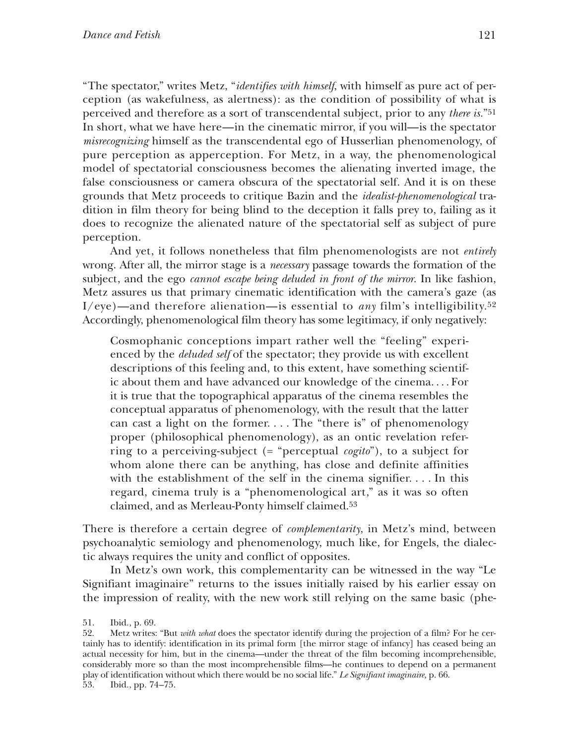"The spectator," writes Metz, "*identifies with himself*, with himself as pure act of perception (as wakefulness, as alertness): as the condition of possibility of what is perceived and therefore as a sort of transcendental subject, prior to any *there is.*"51 In short, what we have here—in the cinematic mirror, if you will—is the spectator *misrecognizing* himself as the transcendental ego of Husserlian phenomenology, of pure perception as apperception. For Metz, in a way, the phenomenological model of spectatorial consciousness becomes the alienating inverted image, the false consciousness or camera obscura of the spectatorial self. And it is on these grounds that Metz proceeds to critique Bazin and the *idealist-phenomenological* tradition in film theory for being blind to the deception it falls prey to, failing as it does to recognize the alienated nature of the spectatorial self as subject of pure perception.

 And yet, it follows nonetheless that film phenomenologists are not *entirely* wrong. After all, the mirror stage is a *necessary* passage towards the formation of the subject, and the ego *cannot escape being deluded in front of the mirror*. In like fashion, Metz assures us that primary cinematic identification with the camera's gaze (as I/eye)—and therefore alienation—is essential to *any* film's intelligibility.52 Accordingly, phenomenological film theory has some legitimacy, if only negatively:

Cosmophanic conceptions impart rather well the "feeling" experienced by the *deluded self* of the spectator; they provide us with excellent descriptions of this feeling and, to this extent, have something scientific about them and have advanced our knowledge of the cinema. . . . For it is true that the topographical apparatus of the cinema resembles the conceptual apparatus of phenomenology, with the result that the latter can cast a light on the former. . . . The "there is" of phenomenology proper (philosophical phenomenology), as an ontic revelation referring to a perceiving-subject (= "perceptual *cogito*"), to a subject for whom alone there can be anything, has close and definite affinities with the establishment of the self in the cinema signifier. . . . In this regard, cinema truly is a "phenomenological art," as it was so often claimed, and as Merleau-Ponty himself claimed.53

There is therefore a certain degree of *complementarity*, in Metz's mind, between psychoanalytic semiology and phenomenology, much like, for Engels, the dialectic always requires the unity and conflict of opposites.

 In Metz's own work, this complementarity can be witnessed in the way "Le Signifiant imaginaire" returns to the issues initially raised by his earlier essay on the impression of reality, with the new work still relying on the same basic (phe-

<sup>51.</sup> Ibid.*,* p. 69.

<sup>52.</sup> Metz writes: "But *with what* does the spectator identify during the projection of a film? For he certainly has to identify: identification in its primal form [the mirror stage of infancy] has ceased being an actual necessity for him, but in the cinema—under the threat of the film becoming incomprehensible, considerably more so than the most incomprehensible films—he continues to depend on a permanent play of identification without which there would be no social life." *Le Signifiant imaginaire,* p. 66. 53. Ibid., pp. 74–75.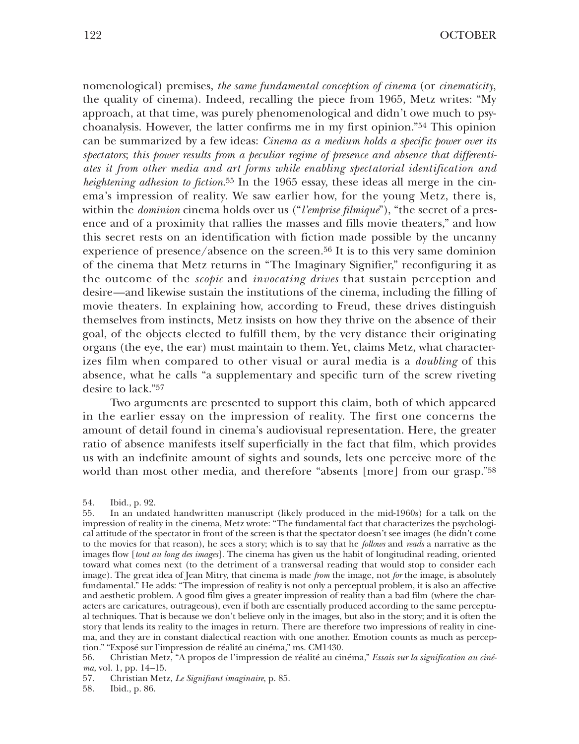nomenological) premises, *the same fundamental conception of cinema* (or *cinematicity*, the quality of cinema). Indeed, recalling the piece from 1965, Metz writes: "My approach, at that time, was purely phenomenological and didn't owe much to psychoanalysis. However, the latter confirms me in my first opinion."54 This opinion can be summarized by a few ideas: *Cinema as a medium holds a specific power over its spectators*; *this power results from a peculiar regime of presence and absence that differentiates it from other media and art forms while enabling spectatorial identification and heightening adhesion to fiction*.55 In the 1965 essay, these ideas all merge in the cinema's impression of reality. We saw earlier how, for the young Metz, there is, within the *dominion* cinema holds over us ("*l'emprise filmique*"), "the secret of a presence and of a proximity that rallies the masses and fills movie theaters," and how this secret rests on an identification with fiction made possible by the uncanny experience of presence/absence on the screen.56 It is to this very same dominion of the cinema that Metz returns in "The Imaginary Signifier," reconfiguring it as the outcome of the *scopic* and *invocating drives* that sustain perception and desire—and likewise sustain the institutions of the cinema, including the filling of movie theaters. In explaining how, according to Freud, these drives distinguish themselves from instincts, Metz insists on how they thrive on the absence of their goal, of the objects elected to fulfill them, by the very distance their originating organs (the eye, the ear) must maintain to them. Yet, claims Metz, what characterizes film when compared to other visual or aural media is a *doubling* of this absence, what he calls "a supplementary and specific turn of the screw riveting desire to lack."57

 Two arguments are presented to support this claim, both of which appeared in the earlier essay on the impression of reality. The first one concerns the amount of detail found in cinema's audiovisual representation. Here, the greater ratio of absence manifests itself superficially in the fact that film, which provides us with an indefinite amount of sights and sounds, lets one perceive more of the world than most other media, and therefore "absents [more] from our grasp."<sup>58</sup>

58. Ibid., p. 86.

<sup>54.</sup> Ibid., p. 92.

<sup>55.</sup> In an undated handwritten manuscript (likely produced in the mid-1960s) for a talk on the impression of reality in the cinema, Metz wrote: "The fundamental fact that characterizes the psychological attitude of the spectator in front of the screen is that the spectator doesn't see images (he didn't come to the movies for that reason), he sees a story; which is to say that he *follows* and *reads* a narrative as the images flow [*tout au long des images*]. The cinema has given us the habit of longitudinal reading, oriented toward what comes next (to the detriment of a transversal reading that would stop to consider each image). The great idea of Jean Mitry, that cinema is made *from* the image, not *for* the image, is absolutely fundamental." He adds: "The impression of reality is not only a perceptual problem, it is also an affective and aesthetic problem. A good film gives a greater impression of reality than a bad film (where the characters are caricatures, outrageous), even if both are essentially produced according to the same perceptual techniques. That is because we don't believe only in the images, but also in the story; and it is often the story that lends its reality to the images in return. There are therefore two impressions of reality in cinema, and they are in constant dialectical reaction with one another. Emotion counts as much as perception." "Exposé sur l'impression de réalité au cinéma," ms. CM1430.

<sup>56.</sup> Christian Metz, "A propos de l'impression de réalité au cinéma," *Essais sur la signification au cinéma,* vol. 1, pp. 14–15.

<sup>57.</sup> Christian Metz, *Le Signifiant imaginaire*, p. 85.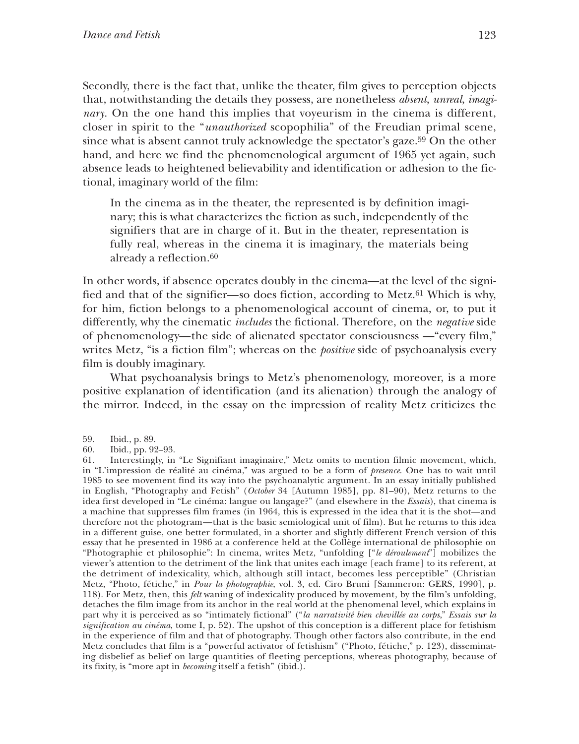Secondly, there is the fact that, unlike the theater, film gives to perception objects that, notwithstanding the details they possess, are nonetheless *absent*, *unreal*, *imaginary*. On the one hand this implies that voyeurism in the cinema is different, closer in spirit to the "*unauthorized* scopophilia" of the Freudian primal scene, since what is absent cannot truly acknowledge the spectator's gaze.59 On the other hand, and here we find the phenomenological argument of 1965 yet again, such absence leads to heightened believability and identification or adhesion to the fictional, imaginary world of the film:

In the cinema as in the theater, the represented is by definition imaginary; this is what characterizes the fiction as such, independently of the signifiers that are in charge of it. But in the theater, representation is fully real, whereas in the cinema it is imaginary, the materials being already a reflection.60

In other words, if absence operates doubly in the cinema—at the level of the signified and that of the signifier—so does fiction, according to Metz.61 Which is why, for him, fiction belongs to a phenomenological account of cinema, or, to put it differently, why the cinematic *includes* the fictional. Therefore, on the *negative* side of phenomenology—the side of alienated spectator consciousness —"every film," writes Metz, "is a fiction film"; whereas on the *positive* side of psychoanalysis every film is doubly imaginary.

 What psychoanalysis brings to Metz's phenomenology, moreover, is a more positive explanation of identification (and its alienation) through the analogy of the mirror. Indeed, in the essay on the impression of reality Metz criticizes the

61. Interestingly, in "Le Signifiant imaginaire," Metz omits to mention filmic movement, which, in "L'impression de réalité au cinéma," was argued to be a form of *presence*. One has to wait until 1985 to see movement find its way into the psychoanalytic argument. In an essay initially published in English, "Photography and Fetish" (*October* 34 [Autumn 1985], pp. 81–90), Metz returns to the idea first developed in "Le cinéma: langue ou langage?" (and elsewhere in the *Essais*), that cinema is a machine that suppresses film frames (in 1964, this is expressed in the idea that it is the shot—and therefore not the photogram—that is the basic semiological unit of film). But he returns to this idea in a different guise, one better formulated, in a shorter and slightly different French version of this essay that he presented in 1986 at a conference held at the Collège international de philosophie on "Photographie et philosophie": In cinema, writes Metz, "unfolding ["*le déroulement*"] mobilizes the viewer's attention to the detriment of the link that unites each image [each frame] to its referent, at the detriment of indexicality, which, although still intact, becomes less perceptible" (Christian Metz, "Photo, fétiche," in *Pour la photographie*, vol. 3, ed. Ciro Bruni [Sammeron: GERS, 1990], p. 118). For Metz, then, this *felt* waning of indexicality produced by movement, by the film's unfolding, detaches the film image from its anchor in the real world at the phenomenal level, which explains in part why it is perceived as so "intimately fictional" ("*la narrativité bien chevillée au corps*," *Essais sur la signification au cinéma*, tome I, p. 52). The upshot of this conception is a different place for fetishism in the experience of film and that of photography. Though other factors also contribute, in the end Metz concludes that film is a "powerful activator of fetishism" ("Photo, fétiche," p. 123), disseminating disbelief as belief on large quantities of fleeting perceptions, whereas photography, because of its fixity, is "more apt in *becoming* itself a fetish" (ibid.).

<sup>59.</sup> Ibid., p. 89.

<sup>60.</sup> Ibid., pp. 92–93.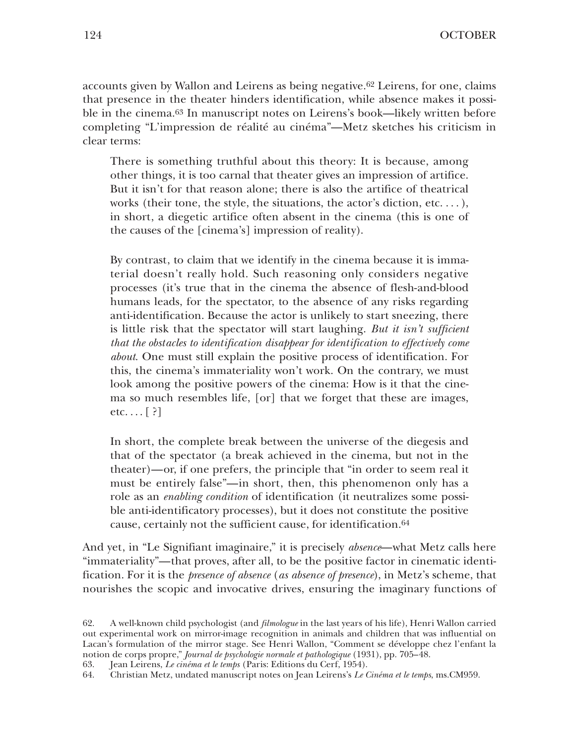accounts given by Wallon and Leirens as being negative.62 Leirens, for one, claims that presence in the theater hinders identification, while absence makes it possible in the cinema.63 In manuscript notes on Leirens's book—likely written before completing "L'impression de réalité au cinéma"—Metz sketches his criticism in clear terms:

There is something truthful about this theory: It is because, among other things, it is too carnal that theater gives an impression of artifice. But it isn't for that reason alone; there is also the artifice of theatrical works (their tone, the style, the situations, the actor's diction, etc....), in short, a diegetic artifice often absent in the cinema (this is one of the causes of the [cinema's] impression of reality).

By contrast, to claim that we identify in the cinema because it is immaterial doesn't really hold. Such reasoning only considers negative processes (it's true that in the cinema the absence of flesh-and-blood humans leads, for the spectator, to the absence of any risks regarding anti-identification. Because the actor is unlikely to start sneezing, there is little risk that the spectator will start laughing. *But it isn't sufficient that the obstacles to identification disappear for identification to effectively come about*. One must still explain the positive process of identification. For this, the cinema's immateriality won't work. On the contrary, we must look among the positive powers of the cinema: How is it that the cinema so much resembles life, [or] that we forget that these are images, etc.  $\ldots$  [ ?]

In short, the complete break between the universe of the diegesis and that of the spectator (a break achieved in the cinema, but not in the theater)—or, if one prefers, the principle that "in order to seem real it must be entirely false"—in short, then, this phenomenon only has a role as an *enabling condition* of identification (it neutralizes some possible anti-identificatory processes), but it does not constitute the positive cause, certainly not the sufficient cause, for identification.64

And yet, in "Le Signifiant imaginaire," it is precisely *absence*—what Metz calls here "immateriality"—that proves, after all, to be the positive factor in cinematic identification. For it is the *presence of absence* (*as absence of presence*), in Metz's scheme, that nourishes the scopic and invocative drives, ensuring the imaginary functions of

<sup>62.</sup> A well-known child psychologist (and *filmologue* in the last years of his life), Henri Wallon carried out experimental work on mirror-image recognition in animals and children that was influential on Lacan's formulation of the mirror stage. See Henri Wallon, "Comment se développe chez l'enfant la notion de corps propre," *Journal de psychologie normale et pathologique* (1931), pp. 705–48.

<sup>63.</sup> Jean Leirens, *Le cinéma et le temps* (Paris: Editions du Cerf, 1954).

<sup>64.</sup> Christian Metz, undated manuscript notes on Jean Leirens's *Le Cinéma et le temps*, ms.CM959.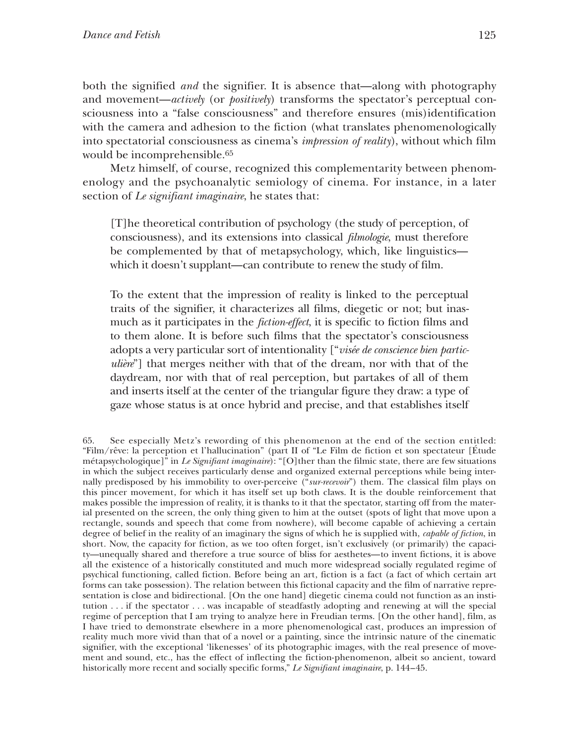both the signified *and* the signifier. It is absence that—along with photography and movement—*actively* (or *positively*) transforms the spectator's perceptual consciousness into a "false consciousness" and therefore ensures (mis)identification with the camera and adhesion to the fiction (what translates phenomenologically into spectatorial consciousness as cinema's *impression of reality*), without which film would be incomprehensible.65

 Metz himself, of course, recognized this complementarity between phenomenology and the psychoanalytic semiology of cinema. For instance, in a later section of *Le signifiant imaginaire*, he states that:

[T]he theoretical contribution of psychology (the study of perception, of consciousness), and its extensions into classical *filmologie*, must therefore be complemented by that of metapsychology, which, like linguistics which it doesn't supplant—can contribute to renew the study of film.

To the extent that the impression of reality is linked to the perceptual traits of the signifier, it characterizes all films, diegetic or not; but inasmuch as it participates in the *fiction-effect*, it is specific to fiction films and to them alone. It is before such films that the spectator's consciousness adopts a very particular sort of intentionality ["*visée de conscience bien particulière*"] that merges neither with that of the dream, nor with that of the daydream, nor with that of real perception, but partakes of all of them and inserts itself at the center of the triangular figure they draw: a type of gaze whose status is at once hybrid and precise, and that establishes itself

65. See especially Metz's rewording of this phenomenon at the end of the section entitled: "Film/rêve: la perception et l'hallucination" (part II of "Le Film de fiction et son spectateur [Étude métapsychologique]" in *Le Signifiant imaginaire*): "[O]ther than the filmic state, there are few situations in which the subject receives particularly dense and organized external perceptions while being internally predisposed by his immobility to over-perceive ("*sur-recevoir*") them. The classical film plays on this pincer movement, for which it has itself set up both claws. It is the double reinforcement that makes possible the impression of reality, it is thanks to it that the spectator, starting off from the material presented on the screen, the only thing given to him at the outset (spots of light that move upon a rectangle, sounds and speech that come from nowhere), will become capable of achieving a certain degree of belief in the reality of an imaginary the signs of which he is supplied with, *capable of fiction*, in short. Now, the capacity for fiction, as we too often forget, isn't exclusively (or primarily) the capacity—unequally shared and therefore a true source of bliss for aesthetes—to invent fictions, it is above all the existence of a historically constituted and much more widespread socially regulated regime of psychical functioning, called fiction. Before being an art, fiction is a fact (a fact of which certain art forms can take possession). The relation between this fictional capacity and the film of narrative representation is close and bidirectional. [On the one hand] diegetic cinema could not function as an institution . . . if the spectator . . . was incapable of steadfastly adopting and renewing at will the special regime of perception that I am trying to analyze here in Freudian terms. [On the other hand], film, as I have tried to demonstrate elsewhere in a more phenomenological cast, produces an impression of reality much more vivid than that of a novel or a painting, since the intrinsic nature of the cinematic signifier, with the exceptional 'likenesses' of its photographic images, with the real presence of movement and sound, etc., has the effect of inflecting the fiction-phenomenon, albeit so ancient, toward historically more recent and socially specific forms," *Le Signifiant imaginaire*, p. 144–45.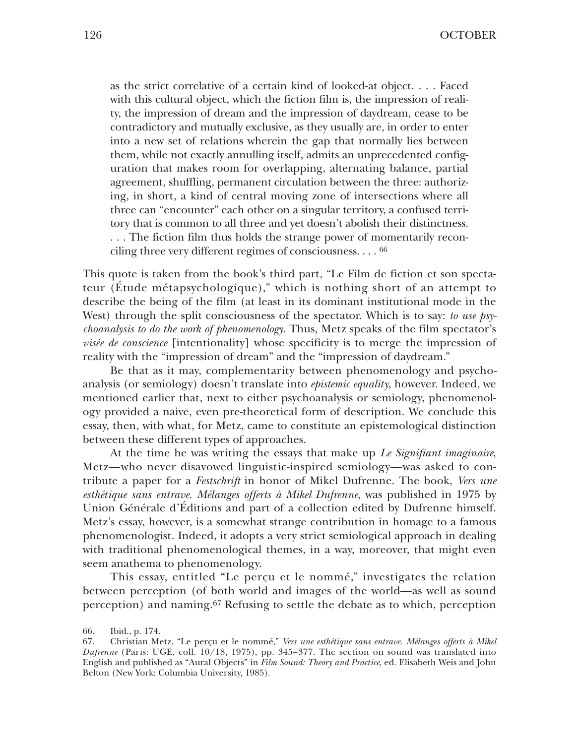as the strict correlative of a certain kind of looked-at object. . . . Faced with this cultural object, which the fiction film is, the impression of reality, the impression of dream and the impression of daydream, cease to be contradictory and mutually exclusive, as they usually are, in order to enter into a new set of relations wherein the gap that normally lies between them, while not exactly annulling itself, admits an unprecedented configuration that makes room for overlapping, alternating balance, partial agreement, shuffling, permanent circulation between the three: authorizing, in short, a kind of central moving zone of intersections where all three can "encounter" each other on a singular territory, a confused territory that is common to all three and yet doesn't abolish their distinctness. . . . The fiction film thus holds the strange power of momentarily reconciling three very different regimes of consciousness. . . . <sup>66</sup>

This quote is taken from the book's third part, "Le Film de fiction et son spectateur (Étude métapsychologique)," which is nothing short of an attempt to describe the being of the film (at least in its dominant institutional mode in the West) through the split consciousness of the spectator. Which is to say: *to use psychoanalysis to do the work of phenomenology*. Thus, Metz speaks of the film spectator's *visée de conscience* [intentionality] whose specificity is to merge the impression of reality with the "impression of dream" and the "impression of daydream."

 Be that as it may, complementarity between phenomenology and psychoanalysis (or semiology) doesn't translate into *epistemic equality*, however. Indeed, we mentioned earlier that, next to either psychoanalysis or semiology, phenomenology provided a naive, even pre-theoretical form of description. We conclude this essay, then, with what, for Metz, came to constitute an epistemological distinction between these different types of approaches.

 At the time he was writing the essays that make up *Le Signifiant imaginaire*, Metz—who never disavowed linguistic-inspired semiology—was asked to contribute a paper for a *Festschrift* in honor of Mikel Dufrenne. The book, *Vers une esthétique sans entrave*. *Mélanges offerts à Mikel Dufrenne*, was published in 1975 by Union Générale d'Éditions and part of a collection edited by Dufrenne himself. Metz's essay, however, is a somewhat strange contribution in homage to a famous phenomenologist. Indeed, it adopts a very strict semiological approach in dealing with traditional phenomenological themes, in a way, moreover, that might even seem anathema to phenomenology.

 This essay, entitled "Le perçu et le nommé," investigates the relation between perception (of both world and images of the world—as well as sound perception) and naming.67 Refusing to settle the debate as to which, perception

<sup>66.</sup> Ibid., p. 174.

<sup>67.</sup> Christian Metz, "Le perçu et le nommé," *Vers une esthétique sans entrave. Mélanges offerts à Mikel Dufrenne* (Paris: UGE, coll. 10/18, 1975), pp. 345–377. The section on sound was translated into English and published as "Aural Objects" in *Film Sound: Theory and Practice*, ed. Elisabeth Weis and John Belton (New York: Columbia University, 1985).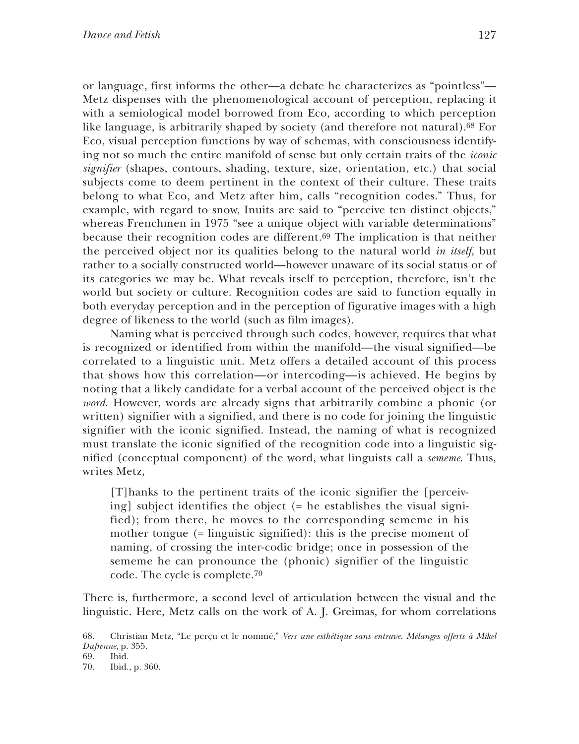or language, first informs the other—a debate he characterizes as "pointless"— Metz dispenses with the phenomenological account of perception, replacing it with a semiological model borrowed from Eco, according to which perception like language, is arbitrarily shaped by society (and therefore not natural).68 For Eco, visual perception functions by way of schemas, with consciousness identifying not so much the entire manifold of sense but only certain traits of the *iconic signifier* (shapes, contours, shading, texture, size, orientation, etc.) that social subjects come to deem pertinent in the context of their culture. These traits belong to what Eco, and Metz after him, calls "recognition codes." Thus, for example, with regard to snow, Inuits are said to "perceive ten distinct objects," whereas Frenchmen in 1975 "see a unique object with variable determinations" because their recognition codes are different.69 The implication is that neither the perceived object nor its qualities belong to the natural world *in itself*, but rather to a socially constructed world—however unaware of its social status or of its categories we may be. What reveals itself to perception, therefore, isn't the world but society or culture. Recognition codes are said to function equally in both everyday perception and in the perception of figurative images with a high degree of likeness to the world (such as film images).

 Naming what is perceived through such codes, however, requires that what is recognized or identified from within the manifold—the visual signified—be correlated to a linguistic unit. Metz offers a detailed account of this process that shows how this correlation—or intercoding—is achieved. He begins by noting that a likely candidate for a verbal account of the perceived object is the *word*. However, words are already signs that arbitrarily combine a phonic (or written) signifier with a signified, and there is no code for joining the linguistic signifier with the iconic signified. Instead, the naming of what is recognized must translate the iconic signified of the recognition code into a linguistic signified (conceptual component) of the word, what linguists call a *sememe*. Thus, writes Metz,

[T]hanks to the pertinent traits of the iconic signifier the [perceiving] subject identifies the object (= he establishes the visual signified); from there, he moves to the corresponding sememe in his mother tongue (= linguistic signified): this is the precise moment of naming, of crossing the inter-codic bridge; once in possession of the sememe he can pronounce the (phonic) signifier of the linguistic code. The cycle is complete.70

There is, furthermore, a second level of articulation between the visual and the linguistic. Here, Metz calls on the work of A. J. Greimas, for whom correlations

68. Christian Metz, "Le perçu et le nommé," *Vers une esthétique sans entrave. Mélanges offerts à Mikel Dufrenne*, p. 355.

69. Ibid.

70. Ibid., p. 360.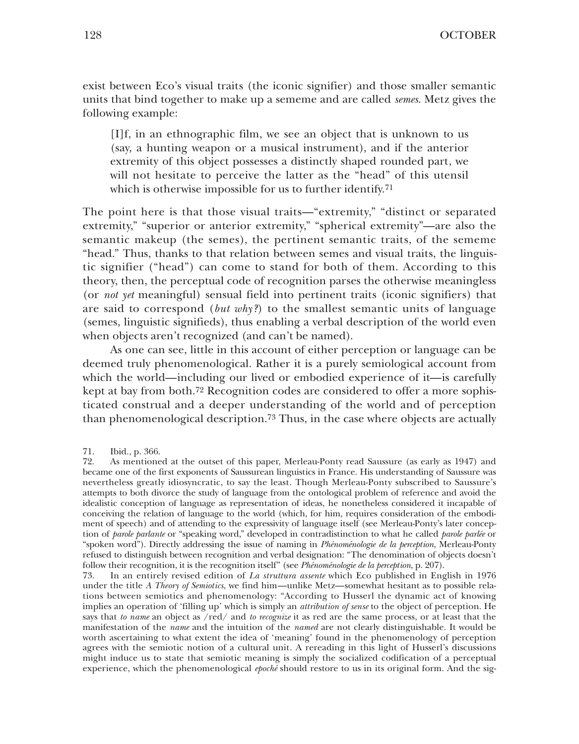exist between Eco's visual traits (the iconic signifier) and those smaller semantic units that bind together to make up a sememe and are called *semes*. Metz gives the following example:

[I]f, in an ethnographic film, we see an object that is unknown to us (say, a hunting weapon or a musical instrument), and if the anterior extremity of this object possesses a distinctly shaped rounded part, we will not hesitate to perceive the latter as the "head" of this utensil which is otherwise impossible for us to further identify.71

The point here is that those visual traits—"extremity," "distinct or separated extremity," "superior or anterior extremity," "spherical extremity"—are also the semantic makeup (the semes), the pertinent semantic traits, of the sememe "head." Thus, thanks to that relation between semes and visual traits, the linguistic signifier ("head") can come to stand for both of them. According to this theory, then, the perceptual code of recognition parses the otherwise meaningless (or *not yet* meaningful) sensual field into pertinent traits (iconic signifiers) that are said to correspond (*but why?*) to the smallest semantic units of language (semes, linguistic signifieds), thus enabling a verbal description of the world even when objects aren't recognized (and can't be named).

 As one can see, little in this account of either perception or language can be deemed truly phenomenological. Rather it is a purely semiological account from which the world—including our lived or embodied experience of it—is carefully kept at bay from both.72 Recognition codes are considered to offer a more sophisticated construal and a deeper understanding of the world and of perception than phenomenological description.73 Thus, in the case where objects are actually

73. In an entirely revised edition of *La struttura assente* which Eco published in English in 1976 under the title *A Theory of Semiotics*, we find him—unlike Metz—somewhat hesitant as to possible relations between semiotics and phenomenology: "According to Husserl the dynamic act of knowing implies an operation of 'filling up' which is simply an *attribution of sense* to the object of perception. He says that *to name* an object as /red/ and *to recognize* it as red are the same process, or at least that the manifestation of the *name* and the intuition of the *named* are not clearly distinguishable. It would be worth ascertaining to what extent the idea of 'meaning' found in the phenomenology of perception agrees with the semiotic notion of a cultural unit. A rereading in this light of Husserl's discussions might induce us to state that semiotic meaning is simply the socialized codification of a perceptual experience, which the phenomenological *epoché* should restore to us in its original form. And the sig-

<sup>71.</sup> Ibid., p. 366.

<sup>72.</sup> As mentioned at the outset of this paper, Merleau-Ponty read Saussure (as early as 1947) and became one of the first exponents of Saussurean linguistics in France. His understanding of Saussure was nevertheless greatly idiosyncratic, to say the least. Though Merleau-Ponty subscribed to Saussure's attempts to both divorce the study of language from the ontological problem of reference and avoid the idealistic conception of language as representation of ideas, he nonetheless considered it incapable of conceiving the relation of language to the world (which, for him, requires consideration of the embodiment of speech) and of attending to the expressivity of language itself (see Merleau-Ponty's later conception of *parole parlante* or "speaking word," developed in contradistinction to what he called *parole parlée* or "spoken word"). Directly addressing the issue of naming in *Phénoménologie de la perception*, Merleau-Ponty refused to distinguish between recognition and verbal designation: "The denomination of objects doesn't follow their recognition, it is the recognition itself" (see *Phénoménologie de la perception*, p. 207).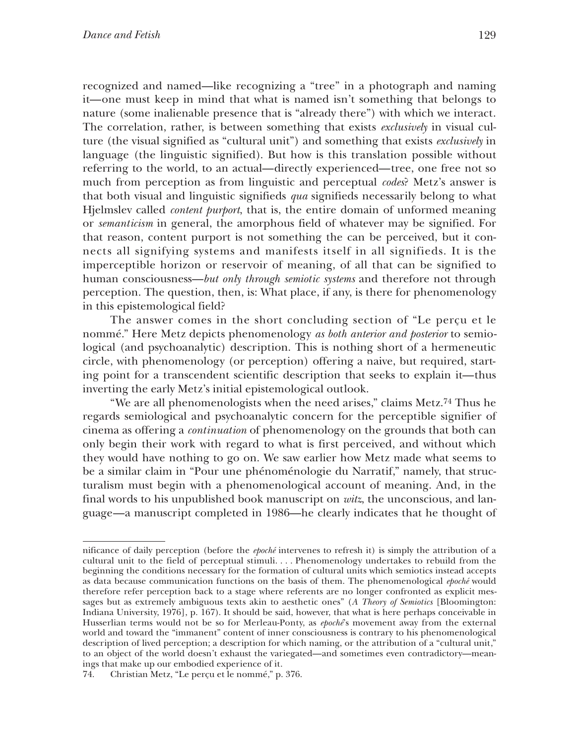recognized and named—like recognizing a "tree" in a photograph and naming it—one must keep in mind that what is named isn't something that belongs to nature (some inalienable presence that is "already there") with which we interact. The correlation, rather, is between something that exists *exclusively* in visual culture (the visual signified as "cultural unit") and something that exists *exclusively* in language (the linguistic signified). But how is this translation possible without referring to the world, to an actual—directly experienced—tree, one free not so much from perception as from linguistic and perceptual *codes*? Metz's answer is that both visual and linguistic signifieds *qua* signifieds necessarily belong to what Hjelmslev called *content purport*, that is, the entire domain of unformed meaning or *semanticism* in general, the amorphous field of whatever may be signified. For that reason, content purport is not something the can be perceived, but it connects all signifying systems and manifests itself in all signifieds. It is the imperceptible horizon or reservoir of meaning, of all that can be signified to human consciousness—*but only through semiotic systems* and therefore not through perception. The question, then, is: What place, if any, is there for phenomenology in this epistemological field?

 The answer comes in the short concluding section of "Le perçu et le nommé." Here Metz depicts phenomenology *as both anterior and posterior* to semiological (and psychoanalytic) description. This is nothing short of a hermeneutic circle, with phenomenology (or perception) offering a naive, but required, starting point for a transcendent scientific description that seeks to explain it—thus inverting the early Metz's initial epistemological outlook.

 "We are all phenomenologists when the need arises," claims Metz.74 Thus he regards semiological and psychoanalytic concern for the perceptible signifier of cinema as offering a *continuation* of phenomenology on the grounds that both can only begin their work with regard to what is first perceived, and without which they would have nothing to go on. We saw earlier how Metz made what seems to be a similar claim in "Pour une phénoménologie du Narratif," namely, that structuralism must begin with a phenomenological account of meaning. And, in the final words to his unpublished book manuscript on *witz*, the unconscious, and language—a manuscript completed in 1986—he clearly indicates that he thought of

nificance of daily perception (before the *epoché* intervenes to refresh it) is simply the attribution of a cultural unit to the field of perceptual stimuli. . . . Phenomenology undertakes to rebuild from the beginning the conditions necessary for the formation of cultural units which semiotics instead accepts as data because communication functions on the basis of them. The phenomenological *epoché* would therefore refer perception back to a stage where referents are no longer confronted as explicit messages but as extremely ambiguous texts akin to aesthetic ones" (*A Theory of Semiotics* [Bloomington: Indiana University, 1976], p. 167). It should be said, however, that what is here perhaps conceivable in Husserlian terms would not be so for Merleau-Ponty, as *epoché*'s movement away from the external world and toward the "immanent" content of inner consciousness is contrary to his phenomenological description of lived perception; a description for which naming, or the attribution of a "cultural unit," to an object of the world doesn't exhaust the variegated—and sometimes even contradictory—meanings that make up our embodied experience of it.

<sup>74.</sup> Christian Metz, "Le perçu et le nommé," p. 376.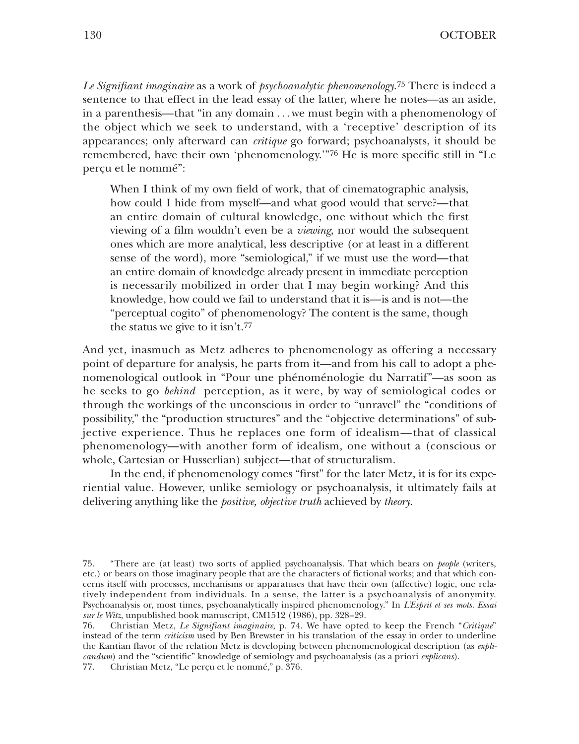*Le Signifiant imaginaire* as a work of *psychoanalytic phenomenology*.75 There is indeed a sentence to that effect in the lead essay of the latter, where he notes—as an aside, in a parenthesis—that "in any domain . . . we must begin with a phenomenology of the object which we seek to understand, with a 'receptive' description of its appearances; only afterward can *critique* go forward; psychoanalysts, it should be remembered, have their own 'phenomenology.'"76 He is more specific still in "Le perçu et le nommé":

When I think of my own field of work, that of cinematographic analysis, how could I hide from myself—and what good would that serve?—that an entire domain of cultural knowledge, one without which the first viewing of a film wouldn't even be a *viewing*, nor would the subsequent ones which are more analytical, less descriptive (or at least in a different sense of the word), more "semiological," if we must use the word—that an entire domain of knowledge already present in immediate perception is necessarily mobilized in order that I may begin working? And this knowledge, how could we fail to understand that it is—is and is not—the "perceptual cogito" of phenomenology? The content is the same, though the status we give to it isn't.77

And yet, inasmuch as Metz adheres to phenomenology as offering a necessary point of departure for analysis, he parts from it—and from his call to adopt a phenomenological outlook in "Pour une phénoménologie du Narratif"—as soon as he seeks to go *behind* perception, as it were, by way of semiological codes or through the workings of the unconscious in order to "unravel" the "conditions of possibility," the "production structures" and the "objective determinations" of subjective experience. Thus he replaces one form of idealism—that of classical phenomenology—with another form of idealism, one without a (conscious or whole, Cartesian or Husserlian) subject—that of structuralism.

 In the end, if phenomenology comes "first" for the later Metz, it is for its experiential value. However, unlike semiology or psychoanalysis, it ultimately fails at delivering anything like the *positive, objective truth* achieved by *theory*.

<sup>75. &</sup>quot;There are (at least) two sorts of applied psychoanalysis. That which bears on *people* (writers, etc.) or bears on those imaginary people that are the characters of fictional works; and that which concerns itself with processes, mechanisms or apparatuses that have their own (affective) logic, one relatively independent from individuals. In a sense, the latter is a psychoanalysis of anonymity. Psychoanalysis or, most times, psychoanalytically inspired phenomenology." In *L'Esprit et ses mots. Essai sur le Witz*, unpublished book manuscript, CM1512 (1986), pp. 328–29.

<sup>76.</sup> Christian Metz, *Le Signifiant imaginaire*, p. 74. We have opted to keep the French "*Critique*" instead of the term *criticism* used by Ben Brewster in his translation of the essay in order to underline the Kantian flavor of the relation Metz is developing between phenomenological description (as *explicandum*) and the "scientific" knowledge of semiology and psychoanalysis (as a priori *explicans*).

<sup>77.</sup> Christian Metz, "Le perçu et le nommé," p. 376.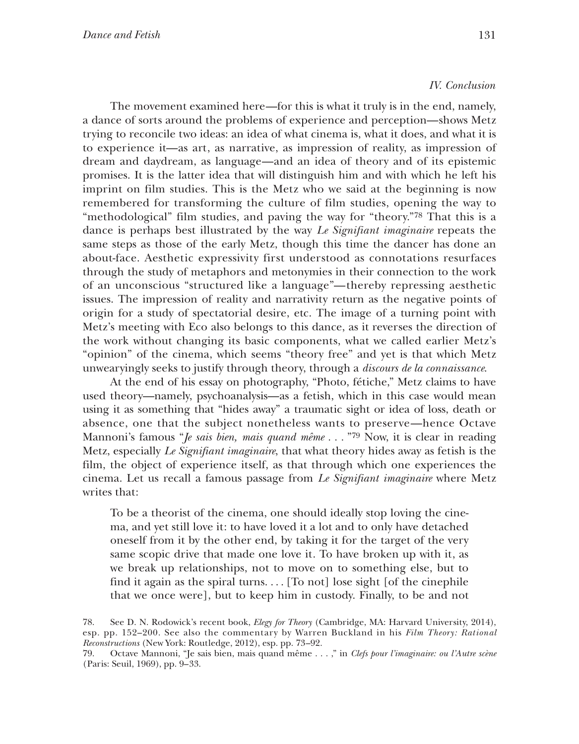#### *IV. Conclusion*

The movement examined here—for this is what it truly is in the end, namely, a dance of sorts around the problems of experience and perception—shows Metz trying to reconcile two ideas: an idea of what cinema is, what it does, and what it is to experience it—as art, as narrative, as impression of reality, as impression of dream and daydream, as language—and an idea of theory and of its epistemic promises. It is the latter idea that will distinguish him and with which he left his imprint on film studies. This is the Metz who we said at the beginning is now remembered for transforming the culture of film studies, opening the way to "methodological" film studies, and paving the way for "theory."78 That this is a dance is perhaps best illustrated by the way *Le Signifiant imaginaire* repeats the same steps as those of the early Metz, though this time the dancer has done an about-face. Aesthetic expressivity first understood as connotations resurfaces through the study of metaphors and metonymies in their connection to the work of an unconscious "structured like a language"—thereby repressing aesthetic issues. The impression of reality and narrativity return as the negative points of origin for a study of spectatorial desire, etc. The image of a turning point with Metz's meeting with Eco also belongs to this dance, as it reverses the direction of the work without changing its basic components, what we called earlier Metz's "opinion" of the cinema, which seems "theory free" and yet is that which Metz unwearyingly seeks to justify through theory, through a *discours de la connaissance*.

At the end of his essay on photography, "Photo, fétiche," Metz claims to have used theory—namely, psychoanalysis—as a fetish, which in this case would mean using it as something that "hides away" a traumatic sight or idea of loss, death or absence, one that the subject nonetheless wants to preserve—hence Octave Mannoni's famous "*Je sais bien, mais quand même . . .* "79 Now, it is clear in reading Metz, especially *Le Signifiant imaginaire*, that what theory hides away as fetish is the film, the object of experience itself, as that through which one experiences the cinema. Let us recall a famous passage from *Le Signifiant imaginaire* where Metz writes that:

To be a theorist of the cinema, one should ideally stop loving the cinema, and yet still love it: to have loved it a lot and to only have detached oneself from it by the other end, by taking it for the target of the very same scopic drive that made one love it. To have broken up with it, as we break up relationships, not to move on to something else, but to find it again as the spiral turns. . . . [To not] lose sight [of the cinephile that we once were], but to keep him in custody. Finally, to be and not

<sup>78.</sup> See D. N. Rodowick's recent book, *Elegy for Theory* (Cambridge, MA: Harvard University, 2014), esp. pp. 152–200. See also the commentary by Warren Buckland in his *Film Theory: Rational Reconstructions* (New York: Routledge, 2012), esp. pp. 73–92.

<sup>79.</sup> Octave Mannoni, "Je sais bien, mais quand même . . . ," in *Clefs pour l'imaginaire: ou l'Autre scène* (Paris: Seuil, 1969), pp. 9–33.